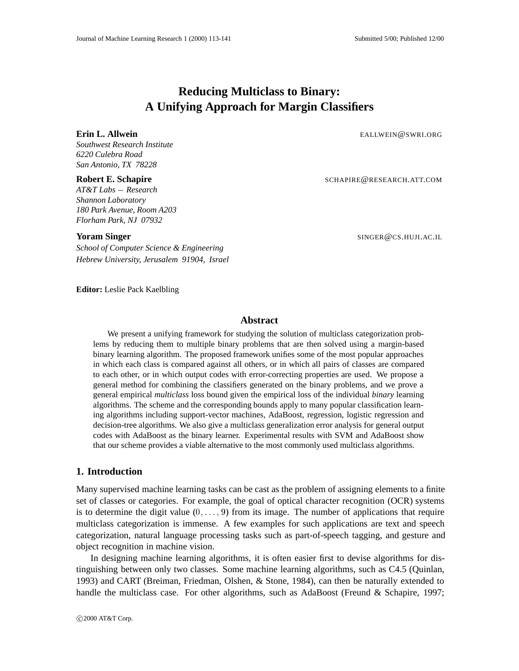# **Reducing Multiclass to Binary: A Unifying Approach for Margin Classifiers**

#### **Erin L. Allwein** EALLWEIN@SWRI.ORG

*Southwest Research Institute 6220 Culebra Road San Antonio, TX 78228*

#### **Robert E. Schapire** SCHAPIRE@RESEARCH.ATT.COM

*AT&T Labs Research Shannon Laboratory 180 Park Avenue, Room A203 Florham Park, NJ 07932*

*School of Computer Science & Engineering Hebrew University, Jerusalem 91904, Israel*

**Yoram Singer** SINGER @CS.HUJI.AC.IL

**Editor:** Leslie Pack Kaelbling

#### **Abstract**

We present a unifying framework for studying the solution of multiclass categorization problems by reducing them to multiple binary problems that are then solved using a margin-based binary learning algorithm. The proposed framework unifies some of the most popular approaches in which each class is compared against all others, or in which all pairs of classes are compared to each other, or in which output codes with error-correcting properties are used. We propose a general method for combining the classifiers generated on the binary problems, and we prove a general empirical *multiclass* loss bound given the empirical loss of the individual *binary* learning algorithms. The scheme and the corresponding bounds apply to many popular classification learning algorithms including support-vector machines, AdaBoost, regression, logistic regression and decision-tree algorithms. We also give a multiclass generalization error analysis for general output codes with AdaBoost as the binary learner. Experimental results with SVM and AdaBoost show that our scheme provides a viable alternative to the most commonly used multiclass algorithms.

#### **1. Introduction**

Many supervised machine learning tasks can be cast as the problem of assigning elements to a finite set of classes or categories. For example, the goal of optical character recognition (OCR) systems is to determine the digit value  $(0,\ldots,9)$  from its image. The number of applications that require multiclass categorization is immense. A few examples for such applications are text and speech categorization, natural language processing tasks such as part-of-speech tagging, and gesture and object recognition in machine vision.

In designing machine learning algorithms, it is often easier first to devise algorithms for distinguishing between only two classes. Some machine learning algorithms, such as C4.5 (Quinlan, 1993) and CART (Breiman, Friedman, Olshen, & Stone, 1984), can then be naturally extended to handle the multiclass case. For other algorithms, such as AdaBoost (Freund & Schapire, 1997;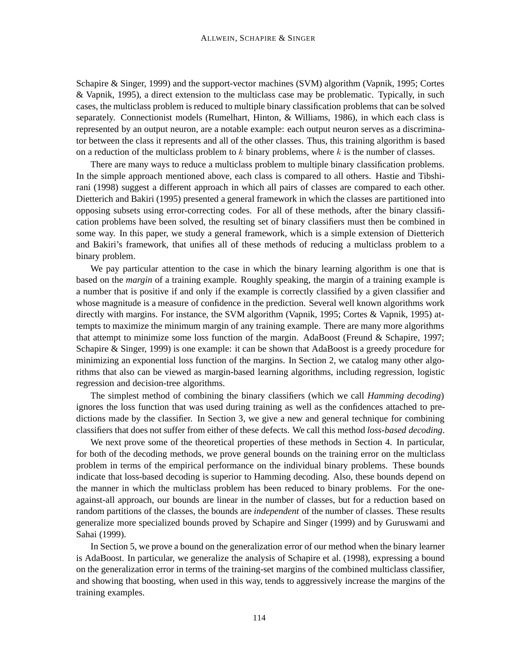Schapire & Singer, 1999) and the support-vector machines (SVM) algorithm (Vapnik, 1995; Cortes & Vapnik, 1995), a direct extension to the multiclass case may be problematic. Typically, in such cases, the multiclass problem is reduced to multiple binary classification problems that can be solved separately. Connectionist models (Rumelhart, Hinton, & Williams, 1986), in which each class is represented by an output neuron, are a notable example: each output neuron serves as a discriminator between the class it represents and all of the other classes. Thus, this training algorithm is based on a reduction of the multiclass problem to  $k$  binary problems, where  $k$  is the number of classes.

There are many ways to reduce a multiclass problem to multiple binary classification problems. In the simple approach mentioned above, each class is compared to all others. Hastie and Tibshirani (1998) suggest a different approach in which all pairs of classes are compared to each other. Dietterich and Bakiri (1995) presented a general framework in which the classes are partitioned into opposing subsets using error-correcting codes. For all of these methods, after the binary classification problems have been solved, the resulting set of binary classifiers must then be combined in some way. In this paper, we study a general framework, which is a simple extension of Dietterich and Bakiri's framework, that unifies all of these methods of reducing a multiclass problem to a binary problem.

We pay particular attention to the case in which the binary learning algorithm is one that is based on the *margin* of a training example. Roughly speaking, the margin of a training example is a number that is positive if and only if the example is correctly classified by a given classifier and whose magnitude is a measure of confidence in the prediction. Several well known algorithms work directly with margins. For instance, the SVM algorithm (Vapnik, 1995; Cortes & Vapnik, 1995) attempts to maximize the minimum margin of any training example. There are many more algorithms that attempt to minimize some loss function of the margin. AdaBoost (Freund & Schapire, 1997; Schapire & Singer, 1999) is one example: it can be shown that AdaBoost is a greedy procedure for minimizing an exponential loss function of the margins. In Section 2, we catalog many other algorithms that also can be viewed as margin-based learning algorithms, including regression, logistic regression and decision-tree algorithms.

The simplest method of combining the binary classifiers (which we call *Hamming decoding*) ignores the loss function that was used during training as well as the confidences attached to predictions made by the classifier. In Section 3, we give a new and general technique for combining classifiers that does not suffer from either of these defects. We call this method *loss-based decoding*.

We next prove some of the theoretical properties of these methods in Section 4. In particular, for both of the decoding methods, we prove general bounds on the training error on the multiclass problem in terms of the empirical performance on the individual binary problems. These bounds indicate that loss-based decoding is superior to Hamming decoding. Also, these bounds depend on the manner in which the multiclass problem has been reduced to binary problems. For the oneagainst-all approach, our bounds are linear in the number of classes, but for a reduction based on random partitions of the classes, the bounds are *independent* of the number of classes. These results generalize more specialized bounds proved by Schapire and Singer (1999) and by Guruswami and Sahai (1999).

In Section 5, we prove a bound on the generalization error of our method when the binary learner is AdaBoost. In particular, we generalize the analysis of Schapire et al. (1998), expressing a bound on the generalization error in terms of the training-set margins of the combined multiclass classifier, and showing that boosting, when used in this way, tends to aggressively increase the margins of the training examples.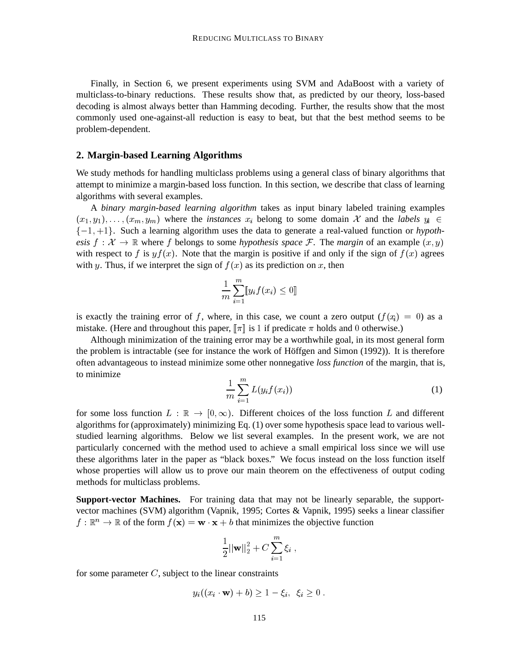Finally, in Section 6, we present experiments using SVM and AdaBoost with a variety of multiclass-to-binary reductions. These results show that, as predicted by our theory, loss-based decoding is almost always better than Hamming decoding. Further, the results show that the most commonly used one-against-all reduction is easy to beat, but that the best method seems to be problem-dependent.

# **2. Margin-based Learning Algorithms**

We study methods for handling multiclass problems using a general class of binary algorithms that attempt to minimize a margin-based loss function. In this section, we describe that class of learning algorithms with several examples.

A *binary margin-based learning algorithm* takes as input binary labeled training examples  $(x_1, y_1), \ldots, (x_m, y_m)$  where the *instances*  $x_i$  belong to some domain X and the *labels*  $y_i \in$  $\{-1,+1\}$ . Such a learning algorithm uses the data to generate a real-valued function or *hypothesis*  $f: \mathcal{X} \to \mathbb{R}$  where f belongs to some *hypothesis space* F. The *margin* of an example  $(x, y)$ with respect to f is  $y f(x)$ . Note that the margin is positive if and only if the sign of  $f(x)$  agrees with y. Thus, if we interpret the sign of  $f(x)$  as its prediction on x, then

$$
\frac{1}{m}\sum_{i=1}^m[\![y_if(x_i)\leq 0]\!]
$$

is exactly the training error of f, where, in this case, we count a zero output  $(f(x_i) = 0)$  as a mistake. (Here and throughout this paper,  $\llbracket \pi \rrbracket$  is 1 if predicate  $\pi$  holds and 0 otherwise.)

Although minimization of the training error may be a worthwhile goal, in its most general form the problem is intractable (see for instance the work of Höffgen and Simon (1992)). It is therefore often advantageous to instead minimize some other nonnegative *loss function* of the margin, that is, to minimize

$$
\frac{1}{m}\sum_{i=1}^{m}L(y_i f(x_i))\tag{1}
$$

for some loss function  $L : \mathbb{R} \to [0,\infty)$ . Different choices of the loss function L and different algorithms for (approximately) minimizing Eq. (1) over some hypothesis space lead to various wellstudied learning algorithms. Below we list several examples. In the present work, we are not particularly concerned with the method used to achieve a small empirical loss since we will use these algorithms later in the paper as "black boxes." We focus instead on the loss function itself whose properties will allow us to prove our main theorem on the effectiveness of output coding methods for multiclass problems.

**Support-vector Machines.** For training data that may not be linearly separable, the supportvector machines (SVM) algorithm (Vapnik, 1995; Cortes & Vapnik, 1995) seeks a linear classifier  $f: \mathbb{R}^n \to \mathbb{R}$  of the form  $f(\mathbf{x}) = \mathbf{w} \cdot \mathbf{x} + b$  that minimizes the objective function

$$
\frac{1}{2}||\mathbf{w}||_2^2 + C\sum_{i=1}^m \xi_i ,
$$

for some parameter  $C$ , subject to the linear constraints

$$
y_i((x_i \cdot \mathbf{w}) + b) \ge 1 - \xi_i, \ \xi_i \ge 0.
$$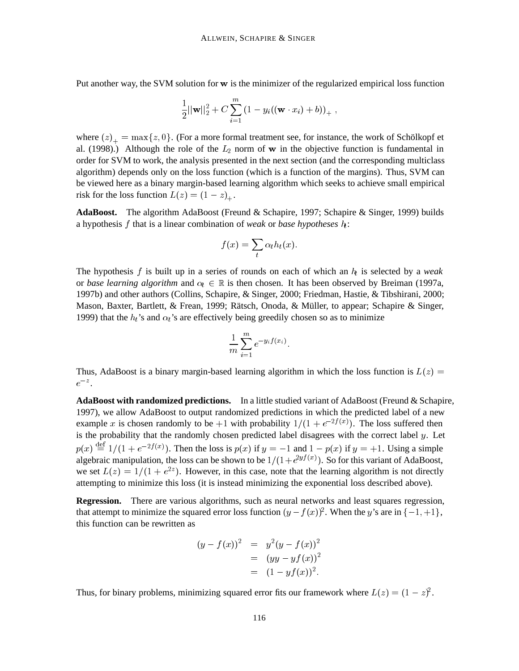Put another way, the SVM solution for <sup>w</sup> is the minimizer of the regularized empirical loss function

$$
\frac{1}{2}||\mathbf{w}||_2^2 + C\sum_{i=1}^m (1 - y_i((\mathbf{w} \cdot x_i) + b))_+,
$$

where  $(z)_+ = \max\{z, 0\}$ . (For a more formal treatment see, for instance, the work of Schölkopf et al. (1998).) Although the role of the  $L_2$  norm of w in the objective function is fundamental in order for SVM to work, the analysis presented in the next section (and the corresponding multiclass algorithm) depends only on the loss function (which is a function of the margins). Thus, SVM can be viewed here as a binary margin-based learning algorithm which seeks to achieve small empirical risk for the loss function  $L(z) = (1 - z)_{+}$ .

**AdaBoost.** The algorithm AdaBoost (Freund & Schapire, 1997; Schapire & Singer, 1999) builds a hypothesis f that is a linear combination of *weak* or *base hypotheses*  $h<sub>i</sub>$ :

$$
f(x) = \sum_{t} \alpha_t h_t(x).
$$

The hypothesis f is built up in a series of rounds on each of which an  $h<sub>i</sub>$  is selected by a *weak* or *base learning algorithm* and  $\alpha_t \in \mathbb{R}$  is then chosen. It has been observed by Breiman (1997a, 1997b) and other authors (Collins, Schapire, & Singer, 2000; Friedman, Hastie, & Tibshirani, 2000; Mason, Baxter, Bartlett,  $\&$  Frean, 1999; Rätsch, Onoda,  $\&$  Müller, to appear; Schapire  $\&$  Singer, 1999) that the  $h_t$ 's and  $\alpha_t$ 's are effectively being greedily chosen so as to minimize

$$
\frac{1}{m}\sum_{i=1}^m e^{-y_i f(x_i)}.
$$

:

Thus, AdaBoost is a binary margin-based learning algorithm in which the loss function is  $L(z)=$  $e^{-z}$ .

**AdaBoost with randomized predictions.** In a little studied variant of AdaBoost (Freund & Schapire, 1997), we allow AdaBoost to output randomized predictions in which the predicted label of a new example x is chosen randomly to be +1 with probability  $1/(1 + e^{-2f(x)})$ . The loss suffered then is the probability that the randomly chosen predicted label disagrees with the correct label  $y$ . Let  $p(x) \stackrel{\text{def}}{=} 1/(1 + e^{-2f(x)})$ . Then the loss is  $p(x)$  if  $y = -1$  and  $1 - p(x)$  if  $y = +1$ . Using a simple algebraic manipulation, the loss can be shown to be  $1/(1+e^{2yf(x)})$ . So for this variant of AdaBoost, we set  $L(z) = 1/(1 + e^{2z})$ . However, in this case, note that the learning algorithm is not directly attempting to minimize this loss (it is instead minimizing the exponential loss described above).

**Regression.** There are various algorithms, such as neural networks and least squares regression, that attempt to minimize the squared error loss function  $(y - f(x))^{2}$ . When the y's are in  $\{-1, +1\}$ , this function can be rewritten as

$$
(y - f(x))^{2} = y^{2}(y - f(x))^{2}
$$
  
=  $(yy - yf(x))^{2}$   
=  $(1 - yf(x))^{2}$ .

Thus, for binary problems, minimizing squared error fits our framework where  $L(z) = (1 - z)^2$ .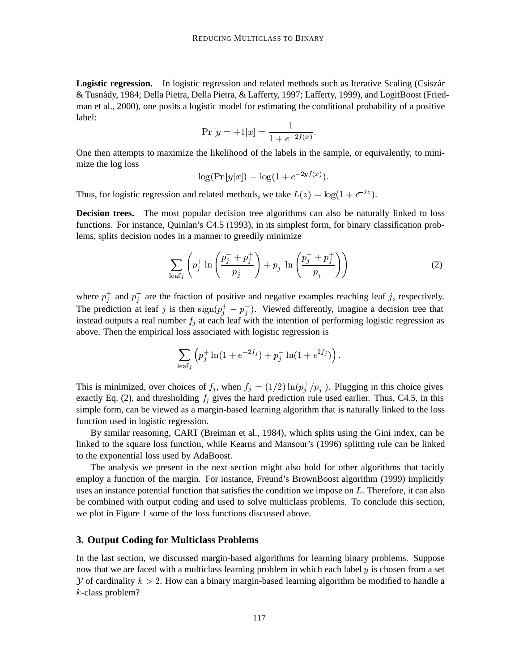**Logistic regression.** In logistic regression and related methods such as Iterative Scaling (Csiszár & Tusn´ady, 1984; Della Pietra, Della Pietra, & Lafferty, 1997; Lafferty, 1999), and LogitBoost (Friedman et al., 2000), one posits a logistic model for estimating the conditional probability of a positive label:

$$
Pr [y = +1|x] = \frac{1}{1 + e^{-2f(x)}}.
$$

One then attempts to maximize the likelihood of the labels in the sample, or equivalently, to minimize the log loss

$$
-\log(\Pr[y|x]) = \log(1 + e^{-2yf(x)}).
$$

Thus, for logistic regression and related methods, we take  $L(z) = \log(1 + e^{-2z})$ .

**Decision trees.** The most popular decision tree algorithms can also be naturally linked to loss functions. For instance, Quinlan's C4.5 (1993), in its simplest form, for binary classification problems, splits decision nodes in a manner to greedily minimize

$$
\sum_{\text{leaf}j} \left( p_j^+ \ln \left( \frac{p_j^- + p_j^+}{p_j^+} \right) + p_j^- \ln \left( \frac{p_j^- + p_j^+}{p_j^-} \right) \right) \tag{2}
$$

where  $p_i^+$  and  $p_i^-$  are the fraction of positive and negative examples reaching leaf j, respectively. The prediction at leaf j is then  $sign(p_i^+ - p_i^-)$ . Viewed differently, imagine a decision tree that  $\mathbf{r}$  $\mathbf{r}$ instead outputs a real number  $f_i$  at each leaf with the intention of performing logistic regression as above. Then the empirical loss associated with logistic regression is

$$
\sum_{\text{leaf }j} \left( p_j^+ \ln(1+e^{-2f_j}) + p_j^- \ln(1+e^{2f_j}) \right).
$$

This is minimized, over choices of  $f_j$ , when  $f_j = (1/2) \ln(p_j^+/p_j^-)$ . Plugging in this choice gives  $\cdot$  $\overline{\phantom{a}}$ exactly Eq. (2), and thresholding  $f_i$  gives the hard prediction rule used earlier. Thus, C4.5, in this simple form, can be viewed as a margin-based learning algorithm that is naturally linked to the loss function used in logistic regression.

By similar reasoning, CART (Breiman et al., 1984), which splits using the Gini index, can be linked to the square loss function, while Kearns and Mansour's (1996) splitting rule can be linked to the exponential loss used by AdaBoost.

The analysis we present in the next section might also hold for other algorithms that tacitly employ a function of the margin. For instance, Freund's BrownBoost algorithm (1999) implicitly uses an instance potential function that satisfies the condition we impose on <sup>L</sup>. Therefore, it can also be combined with output coding and used to solve multiclass problems. To conclude this section, we plot in Figure 1 some of the loss functions discussed above.

## **3. Output Coding for Multiclass Problems**

In the last section, we discussed margin-based algorithms for learning binary problems. Suppose now that we are faced with a multiclass learning problem in which each label  $\gamma$  is chosen from a set  $\mathcal Y$  of cardinality  $k > 2$ . How can a binary margin-based learning algorithm be modified to handle a <sup>k</sup>-class problem?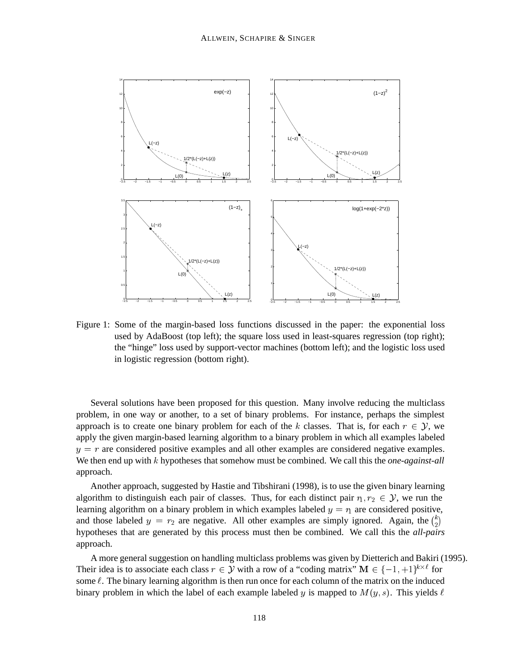

Figure 1: Some of the margin-based loss functions discussed in the paper: the exponential loss used by AdaBoost (top left); the square loss used in least-squares regression (top right); the "hinge" loss used by support-vector machines (bottom left); and the logistic loss used in logistic regression (bottom right).

Several solutions have been proposed for this question. Many involve reducing the multiclass problem, in one way or another, to a set of binary problems. For instance, perhaps the simplest approach is to create one binary problem for each of the k classes. That is, for each  $r \in \mathcal{Y}$ , we apply the given margin-based learning algorithm to a binary problem in which all examples labeled  $y = r$  are considered positive examples and all other examples are considered negative examples. We then end up with k hypotheses that somehow must be combined. We call this the *one-against-all* approach.

Another approach, suggested by Hastie and Tibshirani (1998), is to use the given binary learning algorithm to distinguish each pair of classes. Thus, for each distinct pair  $r_1, r_2 \in \mathcal{Y}$ , we run the learning algorithm on a binary problem in which examples labeled  $y = r_1$  are considered positive, and those labeled  $y = r_2$  are negative. All other examples are simply ignored. Again, the  $\binom{k}{2}$ hypotheses that are generated by this process must then be combined. We call this the *all-pairs* approach.

A more general suggestion on handling multiclass problems was given by Dietterich and Bakiri (1995). Their idea is to associate each class  $r \in \mathcal{Y}$  with a row of a "coding matrix"  $\mathbf{M} \in \{-1, +1\}^{k \times \ell}$  for some  $\ell$ . The binary learning algorithm is then run once for each column of the matrix on the induced binary problem in which the label of each example labeled y is mapped to  $M(y, s)$ . This yields  $\ell$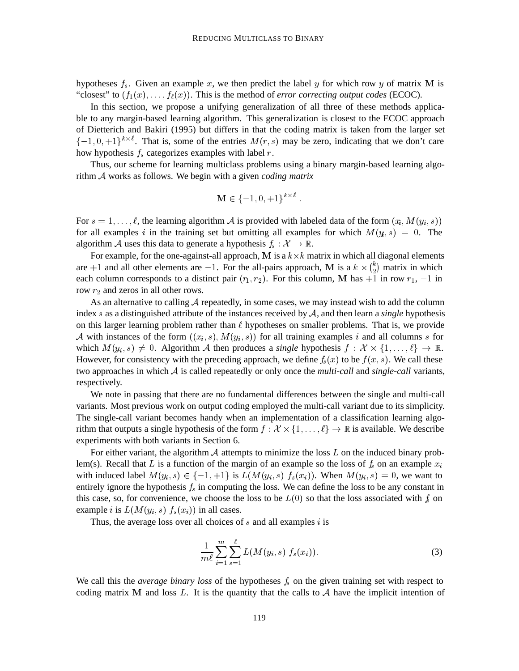hypotheses  $f_s$ . Given an example x, we then predict the label y for which row y of matrix M is "closest" to  $(f_1(x),...,f_\ell(x))$ . This is the method of *error correcting output codes* (ECOC).

In this section, we propose a unifying generalization of all three of these methods applicable to any margin-based learning algorithm. This generalization is closest to the ECOC approach of Dietterich and Bakiri (1995) but differs in that the coding matrix is taken from the larger set  $\{-1,0,+1\}^{k\times l}$ . That is, some of the entries  $M(r, s)$  may be zero, indicating that we don't care how hypothesis  $f_s$  categorizes examples with label r.

Thus, our scheme for learning multiclass problems using a binary margin-based learning algorithm <sup>A</sup> works as follows. We begin with a given *coding matrix*

$$
\mathbf{M} \in \{-1, 0, +1\}^{k \times \ell}.
$$

For  $s = 1, \ldots, \ell$ , the learning algorithm A is provided with labeled data of the form  $(x_i, M(y_i, s))$ for all examples i in the training set but omitting all examples for which  $M(y, s) = 0$ . The algorithm A uses this data to generate a hypothesis  $f_s : \mathcal{X} \to \mathbb{R}$ .

For example, for the one-against-all approach, M is a  $k \times k$  matrix in which all diagonal elements are +1 and all other elements are -1. For the all-pairs approach, M is a  $k \times {k \choose 2}$  matrix in  $\binom{k}{2}$  matrix in which each column corresponds to a distinct pair  $(r_1, r_2)$ . For this column, M has  $+1$  in row  $r_1$ ,  $-1$  in row  $r_2$  and zeros in all other rows.

As an alternative to calling <sup>A</sup> repeatedly, in some cases, we may instead wish to add the column index <sup>s</sup> as a distinguished attribute of the instances received by <sup>A</sup>, and then learn a *single* hypothesis on this larger learning problem rather than  $\ell$  hypotheses on smaller problems. That is, we provide A with instances of the form  $((x_i, s), M(y_i, s))$  for all training examples i and all columns s for which  $M(y_i, s) \neq 0$ . Algorithm A then produces a *single* hypothesis  $f : \mathcal{X} \times \{1, \ldots, \ell\} \to \mathbb{R}$ . However, for consistency with the preceding approach, we define  $f_s(x)$  to be  $f(x, s)$ . We call these two approaches in which <sup>A</sup> is called repeatedly or only once the *multi-call* and *single-call* variants, respectively.

We note in passing that there are no fundamental differences between the single and multi-call variants. Most previous work on output coding employed the multi-call variant due to its simplicity. The single-call variant becomes handy when an implementation of a classification learning algorithm that outputs a single hypothesis of the form  $f: \mathcal{X} \times \{1, \ldots, \ell\} \to \mathbb{R}$  is available. We describe experiments with both variants in Section 6.

For either variant, the algorithm  $A$  attempts to minimize the loss  $L$  on the induced binary problem(s). Recall that L is a function of the margin of an example so the loss of  $f_s$  on an example  $x_i$ with induced label  $M(y_i, s) \in \{-1, +1\}$  is  $L(M(y_i, s) f_s(x_i))$ . When  $M(y_i, s)=0$ , we want to entirely ignore the hypothesis  $f_s$  in computing the loss. We can define the loss to be any constant in this case, so, for convenience, we choose the loss to be  $L(0)$  so that the loss associated with  $\frac{1}{k}$  on example *i* is  $L(M(y_i, s) f_s(x_i))$  in all cases.

Thus, the average loss over all choices of  $s$  and all examples  $i$  is

$$
\frac{1}{m\ell} \sum_{i=1}^{m} \sum_{s=1}^{\ell} L(M(y_i, s) f_s(x_i)).
$$
\n(3)

We call this the *average binary loss* of the hypotheses  $f_s$  on the given training set with respect to coding matrix M and loss L. It is the quantity that the calls to  $A$  have the implicit intention of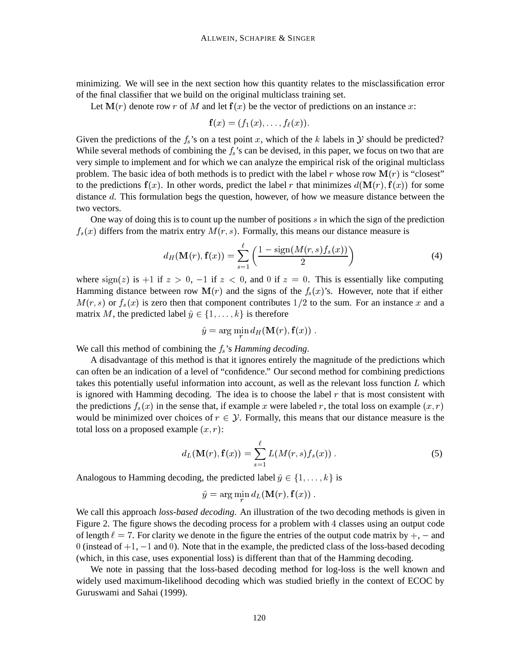minimizing. We will see in the next section how this quantity relates to the misclassification error of the final classifier that we build on the original multiclass training set.

Let  $\mathbf{M}(r)$  denote row r of M and let  $\mathbf{f}(x)$  be the vector of predictions on an instance x:

$$
\mathbf{f}(x)=(f_1(x),\ldots,f_\ell(x)).
$$

Given the predictions of the  $f_s$ 's on a test point x, which of the k labels in  $\mathcal Y$  should be predicted? While several methods of combining the  $f_s$ 's can be devised, in this paper, we focus on two that are very simple to implement and for which we can analyze the empirical risk of the original multiclass problem. The basic idea of both methods is to predict with the label r whose row  $\mathbf{M}(r)$  is "closest" to the predictions  $f(x)$ . In other words, predict the label r that minimizes  $d(\mathbf{M}(r), f(x))$  for some distance  $d$ . This formulation begs the question, however, of how we measure distance between the two vectors.

One way of doing this is to count up the number of positions  $s$  in which the sign of the prediction  $f_s(x)$  differs from the matrix entry  $M(r, s)$ . Formally, this means our distance measure is

$$
d_H(\mathbf{M}(r), \mathbf{f}(x)) = \sum_{s=1}^{\ell} \left( \frac{1 - \text{sign}(M(r, s) f_s(x))}{2} \right)
$$
(4)

where  $sign(z)$  is  $+1$  if  $z > 0$ ,  $-1$  if  $z < 0$ , and 0 if  $z = 0$ . This is essentially like computing Hamming distance between row  $\mathbf{M}(r)$  and the signs of the  $f_s(x)$ 's. However, note that if either  $M(r, s)$  or  $f_s(x)$  is zero then that component contributes  $1/2$  to the sum. For an instance x and a matrix M, the predicted label  $\hat{y} \in \{1,\ldots,k\}$  is therefore

$$
\hat{y} = \arg\min_r d_H(\mathbf{M}(r), \mathbf{f}(x))\;.
$$

r

We call this method of combining the  $f_s$ 's *Hamming decoding*.

A disadvantage of this method is that it ignores entirely the magnitude of the predictions which can often be an indication of a level of "confidence." Our second method for combining predictions takes this potentially useful information into account, as well as the relevant loss function  $L$  which is ignored with Hamming decoding. The idea is to choose the label  $r$  that is most consistent with the predictions  $f_s(x)$  in the sense that, if example x were labeled r, the total loss on example  $(x, r)$ would be minimized over choices of  $r \in \mathcal{Y}$ . Formally, this means that our distance measure is the total loss on a proposed example  $(x, r)$ :

$$
d_L(\mathbf{M}(r), \mathbf{f}(x)) = \sum_{s=1}^{\ell} L(M(r, s) f_s(x)) .
$$
 (5)

Analogous to Hamming decoding, the predicted label  $\hat{y} \in \{1,\ldots,k\}$  is

$$
\hat{y} = \arg\min_r d_L(\mathbf{M}(r), \mathbf{f}(x)) \ .
$$

We call this approach *loss-based decoding*. An illustration of the two decoding methods is given in Figure 2. The figure shows the decoding process for a problem with <sup>4</sup> classes using an output code of length  $\ell = 7$ . For clarity we denote in the figure the entries of the output code matrix by  $+$ ,  $-$  and 0 (instead of  $+1$ ,  $-1$  and 0). Note that in the example, the predicted class of the loss-based decoding (which, in this case, uses exponential loss) is different than that of the Hamming decoding.

We note in passing that the loss-based decoding method for log-loss is the well known and widely used maximum-likelihood decoding which was studied briefly in the context of ECOC by Guruswami and Sahai (1999).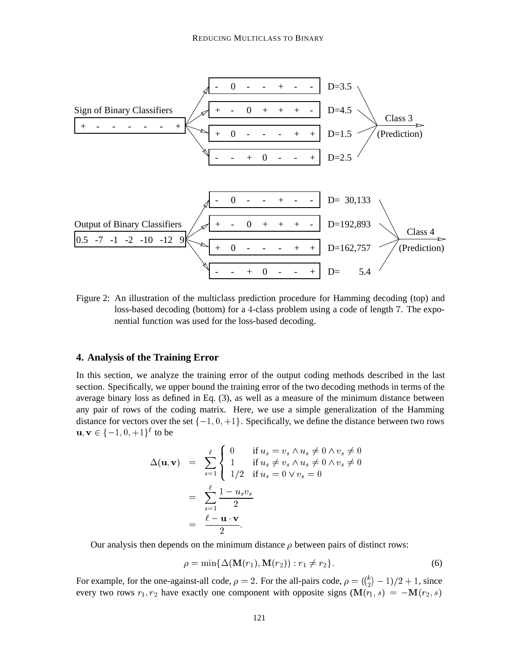

Figure 2: An illustration of the multiclass prediction procedure for Hamming decoding (top) and loss-based decoding (bottom) for a <sup>4</sup>-class problem using a code of length <sup>7</sup>. The exponential function was used for the loss-based decoding.

#### **4. Analysis of the Training Error**

In this section, we analyze the training error of the output coding methods described in the last section. Specifically, we upper bound the training error of the two decoding methods in terms of the average binary loss as defined in Eq. (3), as well as a measure of the minimum distance between any pair of rows of the coding matrix. Here, we use a simple generalization of the Hamming distance for vectors over the set  $\{-1, 0, +1\}$ . Specifically, we define the distance between two rows  $\mathbf{u}, \mathbf{v} \in \{-1, 0, +1\}^{\ell}$  to be

$$
\Delta(\mathbf{u}, \mathbf{v}) = \sum_{s=1}^{\ell} \begin{cases} 0 & \text{if } u_s = v_s \wedge u_s \neq 0 \wedge v_s \neq 0 \\ 1 & \text{if } u_s \neq v_s \wedge u_s \neq 0 \wedge v_s \neq 0 \\ 1/2 & \text{if } u_s = 0 \vee v_s = 0 \end{cases}
$$

$$
= \sum_{s=1}^{\ell} \frac{1 - u_s v_s}{2}
$$

$$
= \frac{\ell - \mathbf{u} \cdot \mathbf{v}}{2}.
$$

Our analysis then depends on the minimum distance  $\rho$  between pairs of distinct rows:

$$
\rho = \min\{\Delta(\mathbf{M}(r_1), \mathbf{M}(r_2)) : r_1 \neq r_2\}.
$$
\n(6)

For example, for the one-against-all code,  $\rho = 2$ . For the all-pairs code,  $\rho = \binom{k}{2} - 1/2 + 1$ , since every two rows  $r_1, r_2$  have exactly one component with opposite signs  $(M(r_1, s) = -M(r_2, s))$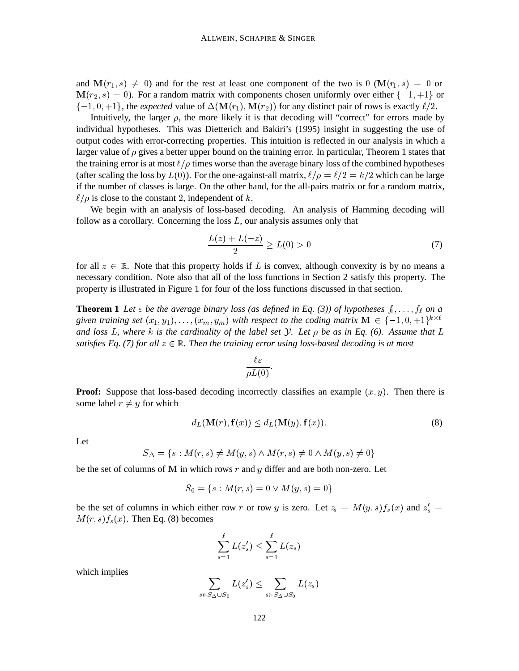and  $\mathbf{M}(r_1, s) \neq 0$  and for the rest at least one component of the two is 0 ( $\mathbf{M}(r_1, s) = 0$  or  $\mathbf{M}(r_2, s) = 0$ ). For a random matrix with components chosen uniformly over either  $\{-1, +1\}$  or  $\{-1, 0, +1\}$ , the *expected* value of  $\Delta(\mathbf{M}(r_1), \mathbf{M}(r_2))$  for any distinct pair of rows is exactly  $\ell/2$ .

Intuitively, the larger  $\rho$ , the more likely it is that decoding will "correct" for errors made by individual hypotheses. This was Dietterich and Bakiri's (1995) insight in suggesting the use of output codes with error-correcting properties. This intuition is reflected in our analysis in which a larger value of  $\rho$  gives a better upper bound on the training error. In particular, Theorem 1 states that the training error is at most  $\ell/\rho$  times worse than the average binary loss of the combined hypotheses (after scaling the loss by  $L(0)$ ). For the one-against-all matrix,  $\ell/\rho = \ell/2 = k/2$  which can be large if the number of classes is large. On the other hand, for the all-pairs matrix or for a random matrix,  $\ell/\rho$  is close to the constant 2, independent of k.

We begin with an analysis of loss-based decoding. An analysis of Hamming decoding will follow as a corollary. Concerning the loss <sup>L</sup>, our analysis assumes only that

$$
\frac{L(z) + L(-z)}{2} \ge L(0) > 0
$$
\n(7)

for all  $z \in \mathbb{R}$ . Note that this property holds if L is convex, although convexity is by no means a necessary condition. Note also that all of the loss functions in Section 2 satisfy this property. The property is illustrated in Figure 1 for four of the loss functions discussed in that section.

**Theorem 1** Let  $\varepsilon$  be the average binary loss (as defined in Eq. (3)) of hypotheses  $f_1, \ldots, f_\ell$  on a given training set  $(x_1, y_1), \ldots, (x_m, y_m)$  with respect to the coding matrix  $\mathbf{M} \in \{-1, 0, +1\}^{k \times k}$ *and loss* <sup>L</sup>*, where* <sup>k</sup> *is the cardinality of the label set* <sup>Y</sup>*. Let be as in Eq. (6). Assume that* <sup>L</sup> *satisfies Eq. (7) for all*  $z \in \mathbb{R}$ *. Then the training error using loss-based decoding is at most* 

$$
\frac{\ell \varepsilon}{\rho L(0)}
$$

**Proof:** Suppose that loss-based decoding incorrectly classifies an example  $(x, y)$ . Then there is some label  $r \neq y$  for which

$$
d_L(\mathbf{M}(r), \mathbf{f}(x)) \le d_L(\mathbf{M}(y), \mathbf{f}(x)).
$$
\n(8)

Let

$$
S_{\Delta} = \{ s : M(r, s) \neq M(y, s) \land M(r, s) \neq 0 \land M(y, s) \neq 0 \}
$$

be the set of columns of M in which rows r and y differ and are both non-zero. Let

$$
S_0 = \{ s : M(r, s) = 0 \lor M(y, s) = 0 \}
$$

be the set of columns in which either row r or row y is zero. Let  $z_s = M(y, s) f_s(x)$  and  $z_s' =$  $M(r, s) f_s(x)$ . Then Eq. (8) becomes

$$
\sum_{s=1}^{\ell} L(z_s') \leq \sum_{s=1}^{\ell} L(z_s)
$$

which implies

$$
\sum_{s \in S_\Delta \cup S_0} L(z_s') \leq \sum_{s \in S_\Delta \cup S_0} L(z_s)
$$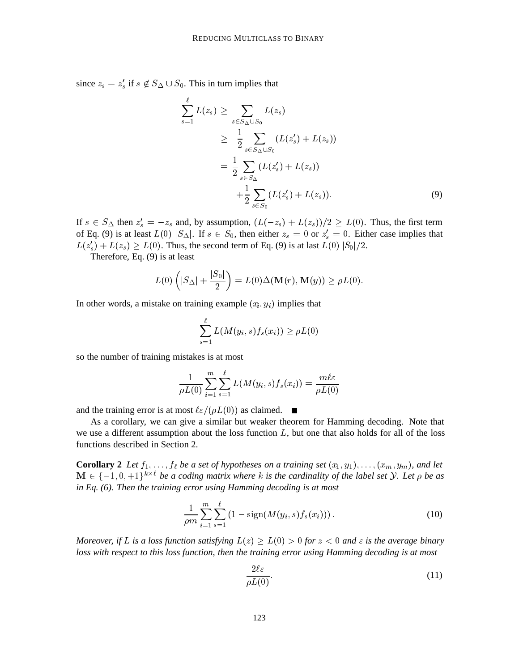since  $z_s = z'_s$  if  $s \notin S_\Delta \cup S_0$ . This in turn implies that

$$
\sum_{s=1}^{\ell} L(z_s) \ge \sum_{s \in S_{\Delta} \cup S_0} L(z_s)
$$
\n
$$
\ge \frac{1}{2} \sum_{s \in S_{\Delta} \cup S_0} (L(z'_s) + L(z_s))
$$
\n
$$
= \frac{1}{2} \sum_{s \in S_{\Delta}} (L(z'_s) + L(z_s))
$$
\n
$$
+ \frac{1}{2} \sum_{s \in S_0} (L(z'_s) + L(z_s)).
$$
\n(9)

If  $s \in S_\Delta$  then  $z_s' = -z_s$  and, by assumption,  $(L(-z_s) + L(z_s))/2 \ge L(0)$ . Thus, the first term of Eq. (9) is at least  $L(0) |S_{\Delta}|$ . If  $s \in S_0$ , then either  $z_s = 0$  or  $z_s' = 0$ . Either case implies that  $L(z<sub>s</sub><sup>'</sup>) + L(z<sub>s</sub>) \ge L(0)$ . Thus, the second term of Eq. (9) is at last  $L(0) |S_0|/2$ .

Therefore, Eq. (9) is at least

$$
L(0)\left(|S_\Delta|+\frac{|S_0|}{2}\right)=L(0)\Delta(\mathbf M(r),\mathbf M(y))\ge \rho L(0).
$$

In other words, a mistake on training example  $(x_i, y_i)$  implies that

$$
\sum_{s=1}^{\ell} L(M(y_i,s)f_s(x_i)) \geq \rho L(0)
$$

so the number of training mistakes is at most

$$
\frac{1}{\rho L(0)}\sum_{i=1}^m\sum_{s=1}^\ell L(M(y_i,s)f_s(x_i))=\frac{m\ell\varepsilon}{\rho L(0)}
$$

and the training error is at most  $\ell \epsilon / (\rho L(0))$  as claimed.  $\blacksquare$ 

As a corollary, we can give a similar but weaker theorem for Hamming decoding. Note that we use a different assumption about the loss function  $L$ , but one that also holds for all of the loss functions described in Section 2.

**Corollary 2** *Let*  $f_1, \ldots, f_\ell$  *be a set of hypotheses on a training set*  $(x_1, y_1), \ldots, (x_m, y_m)$ *, and let*  $\mathbf{M} \in \{-1, 0, +1\}^{k \times \ell}$  be a coding matrix where k is the cardinality of the label set Y. Let  $\rho$  be as *in Eq. (6). Then the training error using Hamming decoding is at most*

$$
\frac{1}{\rho m} \sum_{i=1}^{m} \sum_{s=1}^{\ell} \left( 1 - \text{sign}(M(y_i, s) f_s(x_i)) \right). \tag{10}
$$

*Moreover, if* L is a loss function satisfying  $L(z) \ge L(0) > 0$  for  $z < 0$  and  $\varepsilon$  is the average binary *loss with respect to this loss function, then the training error using Hamming decoding is at most*

$$
\frac{2\ell\varepsilon}{\rho L(0)}.\tag{11}
$$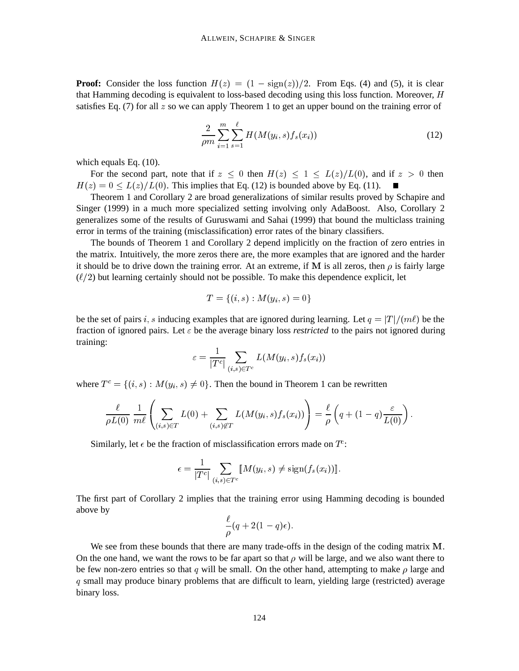**Proof:** Consider the loss function  $H(z) = (1 - sign(z))/2$ . From Eqs. (4) and (5), it is clear that Hamming decoding is equivalent to loss-based decoding using this loss function. Moreover,  $H$ satisfies Eq. (7) for all  $z$  so we can apply Theorem 1 to get an upper bound on the training error of

$$
\frac{2}{\rho m} \sum_{i=1}^{m} \sum_{s=1}^{\ell} H(M(y_i, s) f_s(x_i)) \tag{12}
$$

which equals Eq. (10).

For the second part, note that if  $z \leq 0$  then  $H(z) \leq 1 \leq L(z)/L(0)$ , and if  $z > 0$  then  $H(z)=0 \leq L(z)/L(0)$ . This implies that Eq. (12) is bounded above by Eq. (11).

Theorem 1 and Corollary 2 are broad generalizations of similar results proved by Schapire and Singer (1999) in a much more specialized setting involving only AdaBoost. Also, Corollary 2 generalizes some of the results of Guruswami and Sahai (1999) that bound the multiclass training error in terms of the training (misclassification) error rates of the binary classifiers.

The bounds of Theorem 1 and Corollary 2 depend implicitly on the fraction of zero entries in the matrix. Intuitively, the more zeros there are, the more examples that are ignored and the harder it should be to drive down the training error. At an extreme, if M is all zeros, then  $\rho$  is fairly large  $(\ell/2)$  but learning certainly should not be possible. To make this dependence explicit, let

$$
T = \{(i, s) : M(y_i, s) = 0\}
$$

be the set of pairs i, s inducing examples that are ignored during learning. Let  $q = |T|/(m\ell)$  be the fraction of ignored pairs. Let  $\varepsilon$  be the average binary loss *restricted* to the pairs not ignored during training:

$$
\varepsilon = \frac{1}{|T^c|} \sum_{(i,s) \in T^c} L(M(y_i,s) f_s(x_i))
$$

where  $T^c = \{(i, s) : M(y_i, s) \neq 0\}$ . Then the bound in Theorem 1 can be rewritten

$$
\frac{\ell}{\rho L(0)} \frac{1}{m\ell} \left( \sum_{(i,s)\in T} L(0) + \sum_{(i,s)\notin T} L(M(y_i,s)f_s(x_i)) \right) = \frac{\ell}{\rho} \left( q + (1-q)\frac{\varepsilon}{L(0)} \right).
$$

Similarly, let  $\epsilon$  be the fraction of misclassification errors made on  $T^c$ :

$$
\epsilon = \frac{1}{|T^c|} \sum_{(i,s) \in T^c} \llbracket M(y_i, s) \neq \text{sign}(f_s(x_i)) \rrbracket.
$$

The first part of Corollary 2 implies that the training error using Hamming decoding is bounded above by

$$
\frac{\ell}{\rho}(q+2(1-q)\epsilon).
$$

We see from these bounds that there are many trade-offs in the design of the coding matrix M. On the one hand, we want the rows to be far apart so that  $\rho$  will be large, and we also want there to be few non-zero entries so that q will be small. On the other hand, attempting to make  $\rho$  large and q small may produce binary problems that are difficult to learn, yielding large (restricted) average binary loss.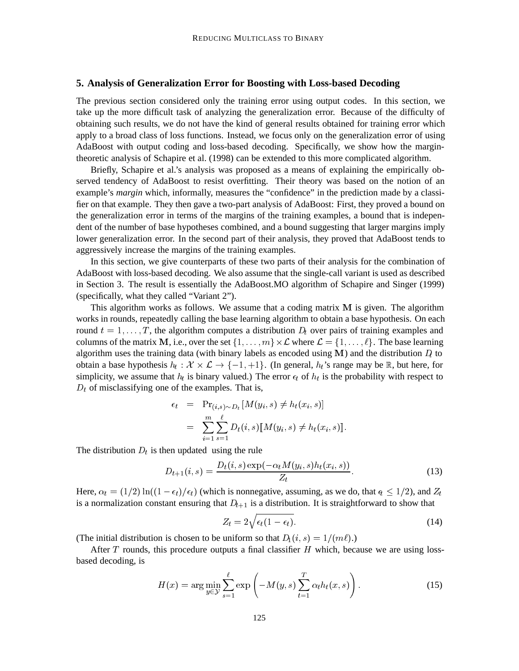### **5. Analysis of Generalization Error for Boosting with Loss-based Decoding**

The previous section considered only the training error using output codes. In this section, we take up the more difficult task of analyzing the generalization error. Because of the difficulty of obtaining such results, we do not have the kind of general results obtained for training error which apply to a broad class of loss functions. Instead, we focus only on the generalization error of using AdaBoost with output coding and loss-based decoding. Specifically, we show how the margintheoretic analysis of Schapire et al. (1998) can be extended to this more complicated algorithm.

Briefly, Schapire et al.'s analysis was proposed as a means of explaining the empirically observed tendency of AdaBoost to resist overfitting. Their theory was based on the notion of an example's *margin* which, informally, measures the "confidence" in the prediction made by a classifier on that example. They then gave a two-part analysis of AdaBoost: First, they proved a bound on the generalization error in terms of the margins of the training examples, a bound that is independent of the number of base hypotheses combined, and a bound suggesting that larger margins imply lower generalization error. In the second part of their analysis, they proved that AdaBoost tends to aggressively increase the margins of the training examples.

In this section, we give counterparts of these two parts of their analysis for the combination of AdaBoost with loss-based decoding. We also assume that the single-call variant is used as described in Section 3. The result is essentially the AdaBoost.MO algorithm of Schapire and Singer (1999) (specifically, what they called "Variant 2").

This algorithm works as follows. We assume that a coding matrix <sup>M</sup> is given. The algorithm works in rounds, repeatedly calling the base learning algorithm to obtain a base hypothesis. On each round  $t = 1, \ldots, T$ , the algorithm computes a distribution  $D_t$  over pairs of training examples and columns of the matrix M, i.e., over the set  $\{1,\ldots,m\}\times\mathcal{L}$  where  $\mathcal{L}=\{1,\ldots,\ell\}$ . The base learning algorithm uses the training data (with binary labels as encoded using  $M$ ) and the distribution  $D<sub>i</sub>$  to obtain a base hypothesis  $h_t : \mathcal{X} \times \mathcal{L} \to \{-1, +1\}$ . (In general,  $h_t$ 's range may be R, but here, for simplicity, we assume that  $h_t$  is binary valued.) The error  $\epsilon_t$  of  $h_t$  is the probability with respect to  $D_t$  of misclassifying one of the examples. That is,

$$
\epsilon_t = \Pr_{(i,s) \sim D_t} [M(y_i, s) \neq h_t(x_i, s)]
$$
  
= 
$$
\sum_{i=1}^m \sum_{s=1}^\ell D_t(i, s) [M(y_i, s) \neq h_t(x_i, s)].
$$

The distribution  $D_t$  is then updated using the rule

$$
D_{t+1}(i,s) = \frac{D_t(i,s) \exp(-\alpha_t M(y_i, s) h_t(x_i, s))}{Z_t}.
$$
\n(13)

Here,  $\alpha_t = (1/2) \ln((1 - \epsilon_t)/\epsilon_t)$  (which is nonnegative, assuming, as we do, that  $\epsilon_t \le 1/2$ ), and  $Z_t$ is a normalization constant ensuring that  $D_{t+1}$  is a distribution. It is straightforward to show that

$$
Z_t = 2\sqrt{\epsilon_t (1 - \epsilon_t)}.
$$
\n(14)

(The initial distribution is chosen to be uniform so that  $D_1(i, s)=1/(m\ell)$ .)

After  $T$  rounds, this procedure outputs a final classifier  $H$  which, because we are using lossbased decoding, is

$$
H(x) = \arg\min_{y \in \mathcal{Y}} \sum_{s=1}^{\ell} \exp\left(-M(y, s) \sum_{t=1}^{T} \alpha_t h_t(x, s)\right).
$$
 (15)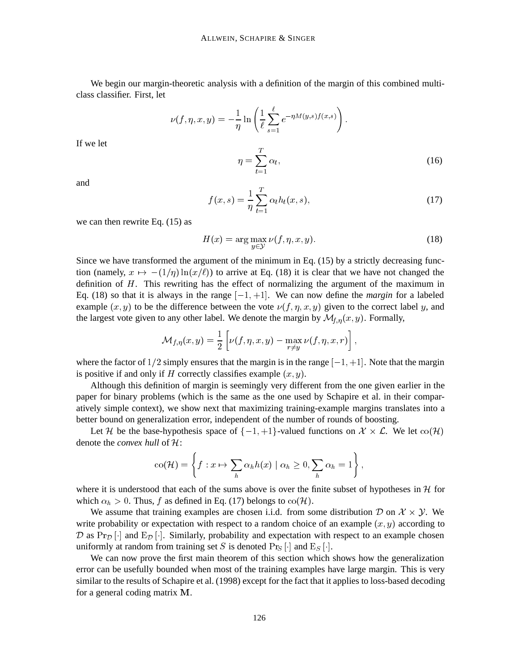We begin our margin-theoretic analysis with a definition of the margin of this combined multiclass classifier. First, let

$$
\nu(f,\eta,x,y)=-\frac{1}{\eta}\ln\left(\frac{1}{\ell}\sum_{s=1}^\ell e^{-\eta M(y,s)f(x,s)}\right).
$$

If we let

 $\eta = \sum \alpha_t$  $t=1$  $-1$  $(16)$ 

and

$$
f(x,s) = \frac{1}{\eta} \sum_{t=1}^{T} \alpha_t h_t(x,s),
$$
\n(17)

we can then rewrite Eq. (15) as

$$
H(x) = \arg\max_{y \in \mathcal{Y}} \nu(f, \eta, x, y).
$$
 (18)

Since we have transformed the argument of the minimum in Eq. (15) by a strictly decreasing function (namely,  $x \mapsto -(1/\eta) \ln(x/\ell)$ ) to arrive at Eq. (18) it is clear that we have not changed the definition of  $H$ . This rewriting has the effect of normalizing the argument of the maximum in Eq. (18) so that it is always in the range  $[-1, +1]$ . We can now define the *margin* for a labeled example  $(x, y)$  to be the difference between the vote  $\nu(f, \eta, x, y)$  given to the correct label y, and the largest vote given to any other label. We denote the margin by  $\mathcal{M}_{f,\eta}(x, y)$ . Formally,

$$
\mathcal{M}_{f,\eta}(x,y) = \frac{1}{2}\left[\nu(f,\eta,x,y) - \max_{r\neq y}\nu(f,\eta,x,r)\right],
$$

where the factor of  $1/2$  simply ensures that the margin is in the range  $[-1, +1]$ . Note that the margin is positive if and only if H correctly classifies example  $(x, y)$ .

Although this definition of margin is seemingly very different from the one given earlier in the paper for binary problems (which is the same as the one used by Schapire et al. in their comparatively simple context), we show next that maximizing training-example margins translates into a better bound on generalization error, independent of the number of rounds of boosting.

Let H be the base-hypothesis space of  $\{-1, +1\}$ -valued functions on  $\mathcal{X} \times \mathcal{L}$ . We let  $co(\mathcal{H})$ denote the *convex hull* of <sup>H</sup>:

$$
\operatorname{co}(\mathcal{H}) = \left\{ f : x \mapsto \sum_{h} \alpha_h h(x) \mid \alpha_h \ge 0, \sum_{h} \alpha_h = 1 \right\},\
$$

where it is understood that each of the sums above is over the finite subset of hypotheses in  $H$  for which  $\alpha_h > 0$ . Thus, f as defined in Eq. (17) belongs to  $\text{co}(\mathcal{H})$ .

We assume that training examples are chosen i.i.d. from some distribution D on  $\mathcal{X} \times \mathcal{Y}$ . We write probability or expectation with respect to a random choice of an example  $(x, y)$  according to D as  $Pr_D[\cdot]$  and  $E_D[\cdot]$ . Similarly, probability and expectation with respect to an example chosen uniformly at random from training set S is denoted  $Pr_S[\cdot]$  and  $E_S[\cdot]$ .

We can now prove the first main theorem of this section which shows how the generalization error can be usefully bounded when most of the training examples have large margin. This is very similar to the results of Schapire et al. (1998) except for the fact that it applies to loss-based decoding for a general coding matrix <sup>M</sup>.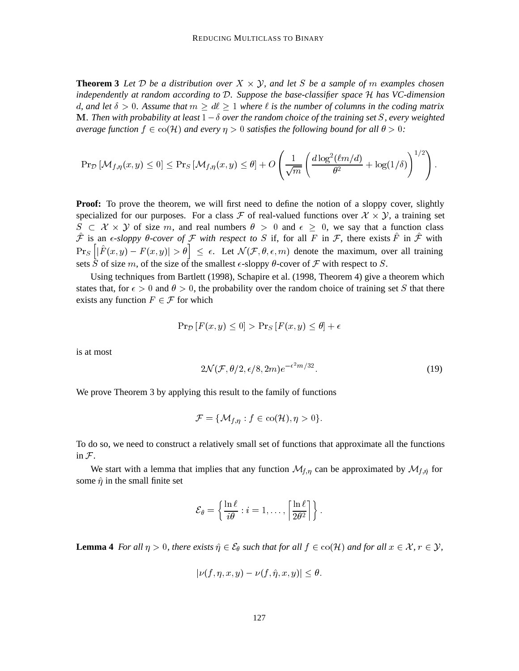**Theorem 3** Let  $D$  be a distribution over  $X \times Y$ , and let S be a sample of m examples chosen *independently at random according to* <sup>D</sup>*. Suppose the base-classifier space* <sup>H</sup> *has VC-dimension* d, and let  $\delta > 0$ . Assume that  $m \geq d\ell \geq 1$  where  $\ell$  is the number of columns in the coding matrix M. Then with probability at least  $1 - \delta$  over the random choice of the training set S, every weighted *average* function  $f \in \text{co}(\mathcal{H})$  *and every*  $\eta > 0$  *satisfies the following bound for all*  $\theta > 0$ :

$$
\Pr_{\mathcal{D}}\left[\mathcal{M}_{f,\eta}(x,y)\leq 0\right]\leq \Pr_{S}\left[\mathcal{M}_{f,\eta}(x,y)\leq \theta\right]+O\left(\frac{1}{\sqrt{m}}\left(\frac{d\log^2(\ell m/d)}{\theta^2}+\log(1/\delta)\right)^{1/2}\right).
$$

**Proof:** To prove the theorem, we will first need to define the notion of a sloppy cover, slightly specialized for our purposes. For a class  $\mathcal F$  of real-valued functions over  $\mathcal X \times \mathcal Y$ , a training set  $S \subset \mathcal{X} \times \mathcal{Y}$  of size m, and real numbers  $\theta > 0$  and  $\epsilon \geq 0$ , we say that a function class F is an *e-sloppy*  $\theta$ -cover of F with respect to S if, for all F in F, there exists F in F with PrS has a series of the contract of the contract of the contract of the contract of the contract of the contract of  $|\hat{F}(x,y) - F(x,y)| > \theta$   $\leq \epsilon$ . Let  $\mathcal{N}(\mathcal{F}, \theta, \epsilon, m)$  denote the maximum, over all training sets S of size m, of the size of the smallest  $\epsilon$ -sloppy  $\theta$ -cover of F with respect to S.

Using techniques from Bartlett (1998), Schapire et al. (1998, Theorem 4) give a theorem which states that, for  $\epsilon > 0$  and  $\theta > 0$ , the probability over the random choice of training set S that there exists any function  $F \in \mathcal{F}$  for which

$$
\Pr_{\mathcal{D}}\left[F(x,y) \le 0\right] > \Pr_{S}\left[F(x,y) \le \theta\right] + \epsilon
$$

is at most

$$
2\mathcal{N}(\mathcal{F}, \theta/2, \epsilon/8, 2m)e^{-\epsilon^2 m/32}.
$$
 (19)

We prove Theorem 3 by applying this result to the family of functions

$$
\mathcal{F} = \{ \mathcal{M}_{f,\eta} : f \in \text{co}(\mathcal{H}), \eta > 0 \}.
$$

To do so, we need to construct a relatively small set of functions that approximate all the functions in  $\mathcal{F}$ .

We start with a lemma that implies that any function  $\mathcal{M}_{f,\eta}$  can be approximated by  $\mathcal{M}_{f,\hat{\eta}}$  for some  $\hat{\eta}$  in the small finite set

$$
\mathcal{E}_\theta = \left\{\frac{\ln \ell}{i\theta}: i = 1, \ldots, \left\lceil \frac{\ln \ell}{2\theta^2} \right\rceil \right\}.
$$

**Lemma 4** *For all*  $\eta > 0$ *, there exists*  $\hat{\eta} \in \mathcal{E}_{\theta}$  *such that for all*  $f \in \text{co}(\mathcal{H})$  *and for all*  $x \in \mathcal{X}$ *,*  $r \in \mathcal{Y}$ *,* 

$$
|\nu(f,\eta,x,y)-\nu(f,\hat{\eta},x,y)|\leq \theta.
$$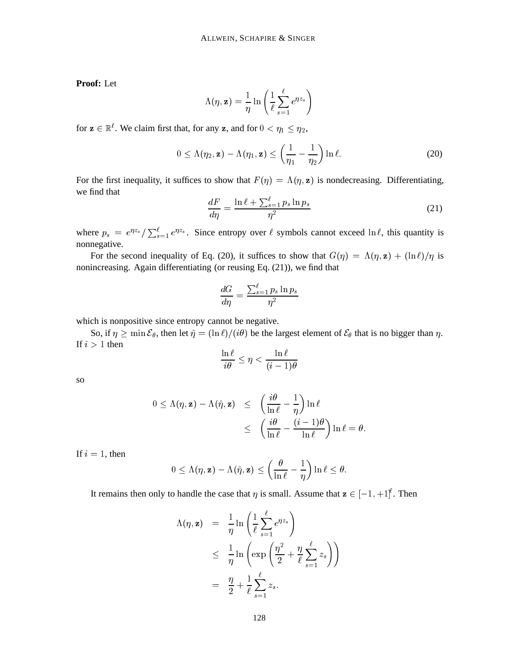**Proof:** Let

$$
\Lambda(\eta,\mathbf{z})=\frac{1}{\eta}\ln\left(\frac{1}{\ell}\sum_{s=1}^{\ell}e^{\eta z_s}\right)
$$

for  $\mathbf{z} \in \mathbb{R}^{\ell}$ . We claim first that, for any  $\mathbf{z}$ , and for  $0 < \eta_1 \leq \eta_2$ ,

$$
0 \leq \Lambda(\eta_2, \mathbf{z}) - \Lambda(\eta_1, \mathbf{z}) \leq \left(\frac{1}{\eta_1} - \frac{1}{\eta_2}\right) \ln \ell. \tag{20}
$$

For the first inequality, it suffices to show that  $F(\eta) = \Lambda(\eta, \mathbf{z})$  is nondecreasing. Differentiating, we find that

$$
\frac{dF}{d\eta} = \frac{\ln \ell + \sum_{s=1}^{\ell} p_s \ln p_s}{\eta^2} \tag{21}
$$

where  $p_s = e^{\eta z_s}/\sum_{s=1}^{\ell} e^{\eta z_s}$ . Since entropy over  $\ell$  symbols cannot exceed  $\ln \ell$ , this quantity is nonnegative.

For the second inequality of Eq. (20), it suffices to show that  $G(\eta) = \Lambda(\eta, \mathbf{z}) + (\ln \ell)/\eta$  is nonincreasing. Again differentiating (or reusing Eq. (21)), we find that

$$
\frac{dG}{d\eta} = \frac{\sum_{s=1}^{\ell} p_s \ln p_s}{\eta^2}
$$

which is nonpositive since entropy cannot be negative.

So, if  $\eta \ge \min \mathcal{E}_{\theta}$ , then let  $\hat{\eta} = (\ln \ell)/(i\theta)$  be the largest element of  $\mathcal{E}_{\theta}$  that is no bigger than  $\eta$ . If  $i>1$  then

$$
\frac{\ln \ell}{i\theta} \le \eta < \frac{\ln \ell}{(i-1)\theta}
$$

so

$$
0 \leq \Lambda(\eta, \mathbf{z}) - \Lambda(\hat{\eta}, \mathbf{z}) \leq \left(\frac{i\theta}{\ln \ell} - \frac{1}{\eta}\right) \ln \ell
$$
  

$$
\leq \left(\frac{i\theta}{\ln \ell} - \frac{(i-1)\theta}{\ln \ell}\right) \ln \ell = \theta.
$$

If  $i = 1$ , then

$$
0\leq \Lambda(\eta,\mathbf{z})-\Lambda(\hat{\eta},\mathbf{z})\leq \left(\frac{\theta}{\ln \ell}-\frac{1}{\eta}\right)\ln \ell \leq \theta.
$$

It remains then only to handle the case that  $\eta$  is small. Assume that  $\mathbf{z} \in [-1, +1]^\ell$ . Then

$$
\Lambda(\eta, \mathbf{z}) = \frac{1}{\eta} \ln \left( \frac{1}{\ell} \sum_{s=1}^{\ell} e^{\eta z_s} \right)
$$
  
\n
$$
\leq \frac{1}{\eta} \ln \left( \exp \left( \frac{\eta^2}{2} + \frac{\eta}{\ell} \sum_{s=1}^{\ell} z_s \right) \right)
$$
  
\n
$$
= \frac{\eta}{2} + \frac{1}{\ell} \sum_{s=1}^{\ell} z_s.
$$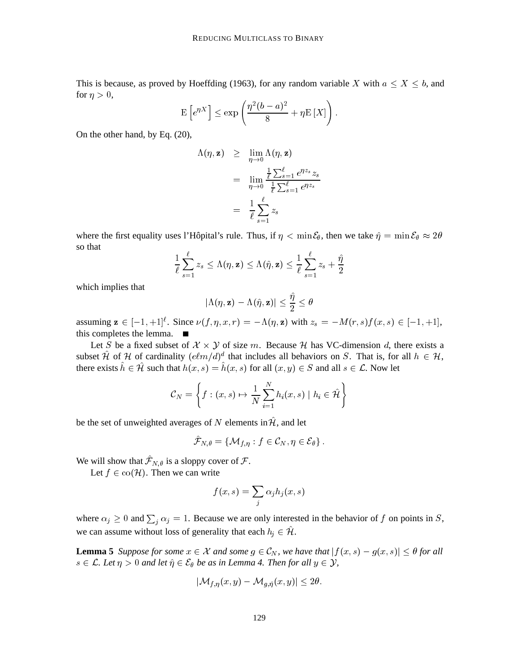This is because, as proved by Hoeffding (1963), for any random variable X with  $a \le X \le b$ , and for  $\eta > 0$ ,

$$
\mathbf{E}\left[e^{\eta X}\right] \le \exp\left(\frac{\eta^2(b-a)^2}{8} + \eta \mathbf{E}\left[X\right]\right).
$$

On the other hand, by Eq. (20),

$$
\Lambda(\eta, \mathbf{z}) \geq \lim_{\eta \to 0} \Lambda(\eta, \mathbf{z})
$$
  
= 
$$
\lim_{\eta \to 0} \frac{\frac{1}{\ell} \sum_{s=1}^{\ell} e^{\eta z_s} z_s}{\frac{1}{\ell} \sum_{s=1}^{\ell} e^{\eta z_s}}
$$
  
= 
$$
\frac{1}{\ell} \sum_{s=1}^{\ell} z_s
$$

where the first equality uses l'Hôpital's rule. Thus, if  $\eta < \min \mathcal{E}_{\theta}$ , then we take  $\hat{\eta} = \min \mathcal{E}_{\theta} \approx 2\theta$ so that

$$
\frac{1}{\ell}\sum_{s=1}^{\ell}z_s \leq \Lambda(\eta, \mathbf{z}) \leq \Lambda(\hat{\eta}, \mathbf{z}) \leq \frac{1}{\ell}\sum_{s=1}^{\ell}z_s + \frac{\hat{\eta}}{2}
$$

which implies that

$$
|\Lambda(\eta,\mathbf{z})-\Lambda(\hat{\eta},\mathbf{z})|\leq \frac{\hat{\eta}}{2}\leq \theta
$$

assuming  $\mathbf{z} \in [-1, +1]^l$ . Since  $\nu(f, \eta, x, r) = -\Lambda(\eta, \mathbf{z})$  with  $z_s = -M(r, s)f(x, s) \in [-1, +1],$ this completes the lemma.

Let S be a fixed subset of  $X \times Y$  of size m. Because H has VC-dimension d, there exists a subset H of H of cardinality  $(e\ell m/d)^d$  that includes all behaviors on S. That is, for all  $h \in H$ , there exists  $h \in \mathcal{H}$  such that  $h(x, s) = h(x, s)$  for all  $(x, y) \in S$  and all  $s \in \mathcal{L}$ . Now let

$$
\mathcal{C}_N = \left\{ f : (x,s) \mapsto \frac{1}{N} \sum_{i=1}^N h_i(x,s) \mid h_i \in \hat{\mathcal{H}} \right\}
$$

be the set of unweighted averages of N elements in  $H$ , and let

$$
\hat{\mathcal{F}}_{N,\theta} = \{ \mathcal{M}_{f,\eta} : f \in \mathcal{C}_N, \eta \in \mathcal{E}_{\theta} \}.
$$

We will show that  $\mathcal{F}_{N,\theta}$  is a sloppy cover of  $\mathcal{F}.$ 

Let  $f \in \text{co}(\mathcal{H})$ . Then we can write

$$
f(x,s)=\sum_j \alpha_j h_j(x,s)
$$

where  $\alpha_j \geq 0$  and  $\sum_j \alpha_j = 1$ . Because we are only interested in the behavior of f on points in S, we can assume without loss of generality that each  $h_i \in \mathcal{H}$ .

**Lemma 5** *Suppose for some*  $x \in \mathcal{X}$  *and some*  $g \in \mathcal{C}_N$ *, we have that*  $|f(x, s) - g(x, s)| \leq \theta$  *for all*  $s \in \mathcal{L}$ . Let  $\eta > 0$  and let  $\hat{\eta} \in \mathcal{E}_{\theta}$  be as in Lemma 4. Then for all  $y \in \mathcal{Y}$ ,

$$
|\mathcal{M}_{f,\eta}(x,y)-\mathcal{M}_{g,\hat{\eta}}(x,y)|\leq 2\theta.
$$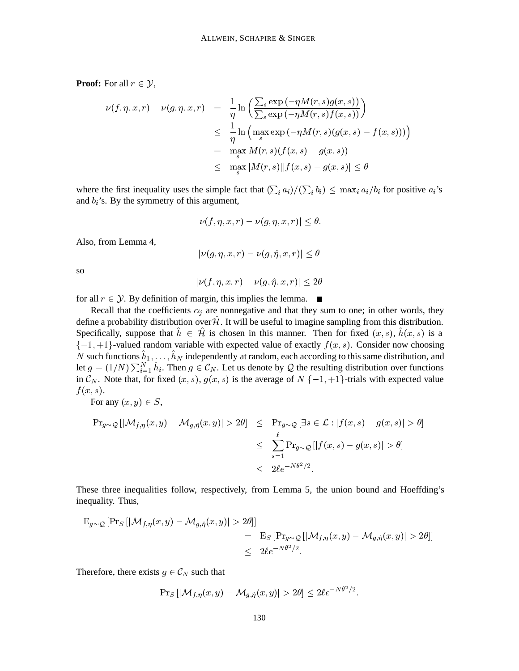**Proof:** For all  $r \in \mathcal{Y}$ ,

$$
\nu(f, \eta, x, r) - \nu(g, \eta, x, r) = \frac{1}{\eta} \ln \left( \frac{\sum_{s} \exp(-\eta M(r, s)g(x, s))}{\sum_{s} \exp(-\eta M(r, s) f(x, s))} \right)
$$
  

$$
\leq \frac{1}{\eta} \ln \left( \max_{s} \exp(-\eta M(r, s) (g(x, s) - f(x, s))) \right)
$$
  

$$
= \max_{s} M(r, s) (f(x, s) - g(x, s))
$$
  

$$
\leq \max_{s} |M(r, s)| |f(x, s) - g(x, s)| \leq \theta
$$

where the first inequality uses the simple fact that  $(\sum_i a_i)/(\sum_i b_i) \leq \max_i a_i/b_i$  for positive  $a_i$ 's and  $b_i$ 's. By the symmetry of this argument,

$$
|\nu(f,\eta,x,r)-\nu(g,\eta,x,r)|\leq \theta.
$$

Also, from Lemma 4,

For any  $(x, y) \in S$ ,

$$
|\nu(g,\eta,x,r)-\nu(g,\hat{\eta},x,r)|\leq\theta
$$

so

$$
|\nu(f,\eta,x,r)-\nu(g,\hat{\eta},x,r)|\leq 2\theta
$$

for all  $r \in \mathcal{Y}$ . By definition of margin, this implies the lemma.  $\blacksquare$ 

Recall that the coefficients  $\alpha_i$  are nonnegative and that they sum to one; in other words, they define a probability distribution over  $H$ . It will be useful to imagine sampling from this distribution. Specifically, suppose that  $h \in \mathcal{H}$  is chosen in this manner. Then for fixed  $(x, s)$ ,  $h(x, s)$  is a  $\{-1, +1\}$ -valued random variable with expected value of exactly  $f(x, s)$ . Consider now choosing N such functions  $h_1,\ldots,h_N$  independently at random, each according to this same distribution, and let  $g = (1/N) \sum_{i=1}^{N} h_i$ . Then  $g \in C_N$ . Let us denote by Q the resulting distribution over functions in  $\mathcal{C}_N$ . Note that, for fixed  $(x, s)$ ,  $g(x, s)$  is the average of  $N \{-1, +1\}$ -trials with expected value  $f(x, s)$ .

$$
\begin{array}{rcl}\n\Pr_{g \sim \mathcal{Q}}\left[|\mathcal{M}_{f,\eta}(x,y) - \mathcal{M}_{g,\hat{\eta}}(x,y)| > 2\theta\right] & \leq & \Pr_{g \sim \mathcal{Q}}\left[\exists s \in \mathcal{L} : |f(x,s) - g(x,s)| > \theta\right] \\
& \leq & \sum_{s=1}^{\ell} \Pr_{g \sim \mathcal{Q}}\left[|f(x,s) - g(x,s)| > \theta\right] \\
& \leq & 2\ell e^{-N\theta^2/2}.\n\end{array}
$$

These three inequalities follow, respectively, from Lemma 5, the union bound and Hoeffding's inequality. Thus,

$$
E_{g\sim\mathcal{Q}}\left[\Pr_S\left[\left|\mathcal{M}_{f,\eta}(x,y) - \mathcal{M}_{g,\hat{\eta}}(x,y)\right| > 2\theta\right]\right] \\
= E_S\left[\Pr_{g\sim\mathcal{Q}}\left[\left|\mathcal{M}_{f,\eta}(x,y) - \mathcal{M}_{g,\hat{\eta}}(x,y)\right|\right] > 2\theta\right] \\
\leq 2\ell e^{-N\theta^2/2}.
$$

Therefore, there exists  $g \in C_N$  such that

$$
{\rm Pr}_{S}\left[|\mathcal{M}_{f,\eta}(x,y)-\mathcal{M}_{g,\hat{\eta}}(x,y)|>2\theta\right]\leq 2\ell e^{-N\theta^2/2}.
$$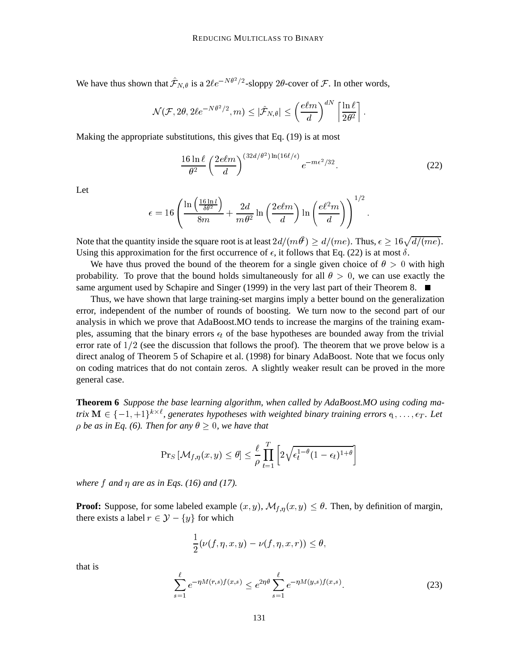We have thus shown that  $\mathcal{F}_{N,\theta}$  is a  $2\ell e^{-N\theta^2/2}$ -sloppy 2 $\theta$ -cover of  $\mathcal{F}$ . In other words,  $\cdots$ 

$$
\mathcal{N}(\mathcal{F}, 2\theta, 2\ell e^{-N\theta^2/2}, m) \leq |\mathcal{\hat{F}}_{N,\theta}| \leq \left(\frac{e\ell m}{d}\right)^{dN} \left\lceil \frac{\ln \ell}{2\theta^2} \right\rceil.
$$

Making the appropriate substitutions, this gives that Eq. (19) is at most

$$
\frac{16\ln\ell}{\theta^2} \left(\frac{2e\ell m}{d}\right)^{(32d/\theta^2)\ln(16\ell/\epsilon)} e^{-m\epsilon^2/32}.
$$
 (22)

Let

$$
\epsilon = 16 \left( \frac{\ln \left( \frac{16 \ln l}{\delta \theta^2} \right)}{8m} + \frac{2d}{m\theta^2} \ln \left( \frac{2e\ell m}{d} \right) \ln \left( \frac{e\ell^2 m}{d} \right) \right)^{1/2}.
$$

Note that the quantity inside the square root is at least  $2d/(m\theta') \ge d/(me)$ . Thus,  $\epsilon \ge 16\sqrt{d/(me)}$ . Using this approximation for the first occurrence of  $\epsilon$ , it follows that Eq. (22) is at most  $\delta$ .

We have thus proved the bound of the theorem for a single given choice of  $\theta > 0$  with high probability. To prove that the bound holds simultaneously for all  $\theta > 0$ , we can use exactly the same argument used by Schapire and Singer (1999) in the very last part of their Theorem 8.  $\blacksquare$ 

Thus, we have shown that large training-set margins imply a better bound on the generalization error, independent of the number of rounds of boosting. We turn now to the second part of our analysis in which we prove that AdaBoost.MO tends to increase the margins of the training examples, assuming that the binary errors  $\epsilon_t$  of the base hypotheses are bounded away from the trivial error rate of  $1/2$  (see the discussion that follows the proof). The theorem that we prove below is a direct analog of Theorem 5 of Schapire et al. (1998) for binary AdaBoost. Note that we focus only on coding matrices that do not contain zeros. A slightly weaker result can be proved in the more general case.

**Theorem 6** *Suppose the base learning algorithm, when called by AdaBoost.MO using coding matrix*  $\mathbf{M} \in \{-1, +1\}^{k \times \ell}$ , generates hypotheses with weighted binary training errors  $\epsilon_1, \ldots, \epsilon_T$ . Let  $\rho$  be as in Eq. (6). Then for any  $\theta \geq 0$ , we have that

$$
\Pr_S \left[ \mathcal{M}_{f,\eta}(x,y) \leq \theta \right] \leq \frac{\ell}{\rho} \prod_{t=1}^T \left[ 2\sqrt{\epsilon_t^{1-\theta}(1-\epsilon_t)^{1+\theta}} \right]
$$

*where*  $f$  *and*  $\eta$  *are as in Eqs.* (16) *and* (17).

**Proof:** Suppose, for some labeled example  $(x, y)$ ,  $\mathcal{M}_{f,\eta}(x, y) \leq \theta$ . Then, by definition of margin, there exists a label  $r \in \mathcal{Y} - \{y\}$  for which

$$
\frac{1}{2}(\nu(f,\eta,x,y)-\nu(f,\eta,x,r))\leq\theta,
$$

that is

$$
\sum_{s=1}^{\ell} e^{-\eta M(r,s)f(x,s)} \le e^{2\eta \theta} \sum_{s=1}^{\ell} e^{-\eta M(y,s)f(x,s)}.
$$
 (23)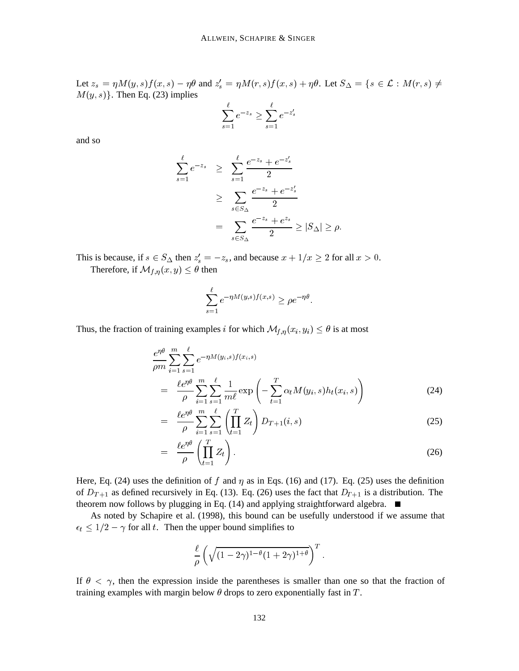Let  $z_s = \eta M(y, s) f(x, s) - \eta \theta$  and  $z_s' = \eta M(r, s) f(x, s) + \eta \theta$ . Let  $S_{\Delta} = \{ s \in \mathcal{L} : M(r, s) \neq \emptyset \}$  $M(y, s)$ . Then Eq. (23) implies

$$
\sum_{s=1}^{\ell} e^{-z_s} \ge \sum_{s=1}^{\ell} e^{-z'_s}
$$

and so

$$
\sum_{s=1}^{\ell} e^{-z_s} \geq \sum_{s=1}^{\ell} \frac{e^{-z_s} + e^{-z'_s}}{2}
$$

$$
\geq \sum_{s \in S_{\Delta}} \frac{e^{-z_s} + e^{-z'_s}}{2}
$$

$$
= \sum_{s \in S_{\Delta}} \frac{e^{-z_s} + e^{z_s}}{2} \geq |S_{\Delta}| \geq \rho.
$$

This is because, if  $s \in S_{\Delta}$  then  $z_s' = -z_s$ , and because  $x + 1/x \ge 2$  for all  $x > 0$ . Therefore, if  $\mathcal{M}_{f,\eta}(x,y) \leq \theta$  then

$$
\sum_{s=1}^{\ell} e^{-\eta M(y,s)f(x,s)} \ge \rho e^{-\eta \theta}.
$$

Thus, the fraction of training examples i for which  $\mathcal{M}_{f,\eta}(x_i, y_i) \leq \theta$  is at most

$$
\frac{e^{\eta \theta}}{\rho m} \sum_{i=1}^{m} \sum_{s=1}^{\ell} e^{-\eta M(y_i, s) f(x_i, s)} \n= \frac{\ell e^{\eta \theta}}{\rho} \sum_{i=1}^{m} \sum_{s=1}^{\ell} \frac{1}{m \ell} \exp \left( - \sum_{t=1}^{T} \alpha_t M(y_i, s) h_t(x_i, s) \right)
$$
\n(24)

$$
= \frac{\ell e^{\eta \theta}}{\rho} \sum_{i=1}^{m} \sum_{s=1}^{\ell} \left( \prod_{t=1}^{T} Z_t \right) D_{T+1}(i, s) \tag{25}
$$

$$
= \frac{\ell e^{\eta \theta}}{\rho} \left( \prod_{t=1}^{T} Z_t \right). \tag{26}
$$

Here, Eq. (24) uses the definition of f and  $\eta$  as in Eqs. (16) and (17). Eq. (25) uses the definition of  $D_{T+1}$  as defined recursively in Eq. (13). Eq. (26) uses the fact that  $D_{T+1}$  is a distribution. The theorem now follows by plugging in Eq.  $(14)$  and applying straightforward algebra.  $\blacksquare$ 

As noted by Schapire et al. (1998), this bound can be usefully understood if we assume that  $\epsilon_t \leq 1/2 - \gamma$  for all t. Then the upper bound simplifies to

$$
\frac{\ell}{\rho}\left(\sqrt{(1-2\gamma)^{1-\theta}(1+2\gamma)^{1+\theta}}\right)^T.
$$

If  $\theta < \gamma$ , then the expression inside the parentheses is smaller than one so that the fraction of training examples with margin below  $\theta$  drops to zero exponentially fast in  $T$ .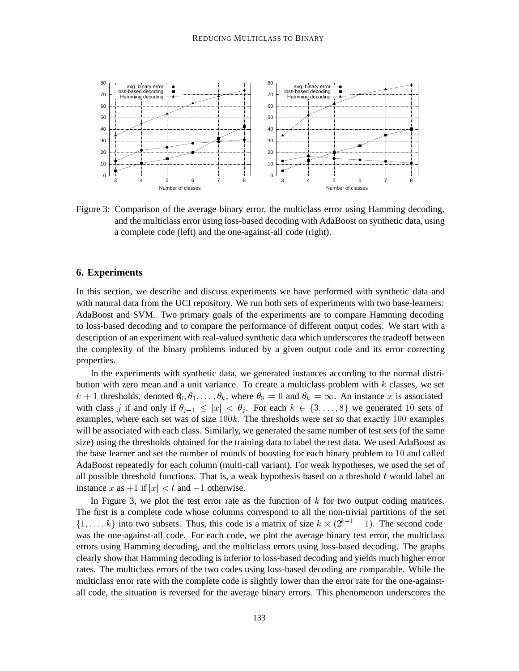

Figure 3: Comparison of the average binary error, the multiclass error using Hamming decoding, and the multiclass error using loss-based decoding with AdaBoost on synthetic data, using a complete code (left) and the one-against-all code (right).

#### **6. Experiments**

In this section, we describe and discuss experiments we have performed with synthetic data and with natural data from the UCI repository. We run both sets of experiments with two base-learners: AdaBoost and SVM. Two primary goals of the experiments are to compare Hamming decoding to loss-based decoding and to compare the performance of different output codes. We start with a description of an experiment with real-valued synthetic data which underscores the tradeoff between the complexity of the binary problems induced by a given output code and its error correcting properties.

In the experiments with synthetic data, we generated instances according to the normal distribution with zero mean and a unit variance. To create a multiclass problem with  $k$  classes, we set  $k + 1$  thresholds, denoted  $\theta_0, \theta_1, \ldots, \theta_k$ , where  $\theta_0 = 0$  and  $\theta_k = \infty$ . An instance x is associated with class j if and only if  $\theta_{i-1} \leq |x| < \theta_i$ . For each  $k \in \{3,\ldots,8\}$  we generated 10 sets of examples, where each set was of size  $100k$ . The thresholds were set so that exactly 100 examples will be associated with each class. Similarly, we generated the same number of test sets (of the same size) using the thresholds obtained for the training data to label the test data. We used AdaBoost as the base learner and set the number of rounds of boosting for each binary problem to <sup>10</sup> and called AdaBoost repeatedly for each column (multi-call variant). For weak hypotheses, we used the set of all possible threshold functions. That is, a weak hypothesis based on a threshold  $t$  would label an instance x as  $+1$  if  $|x| < t$  and  $-1$  otherwise.

In Figure 3, we plot the test error rate as the function of  $k$  for two output coding matrices. The first is a complete code whose columns correspond to all the non-trivial partitions of the set  $\{1,\ldots,k\}$  into two subsets. Thus, this code is a matrix of size  $k \times (2^{k-1}-1)$ . The second code was the one-against-all code. For each code, we plot the average binary test error, the multiclass errors using Hamming decoding, and the multiclass errors using loss-based decoding. The graphs clearly show that Hamming decoding is inferior to loss-based decoding and yields much higher error rates. The multiclass errors of the two codes using loss-based decoding are comparable. While the multiclass error rate with the complete code is slightly lower than the error rate for the one-againstall code, the situation is reversed for the average binary errors. This phenomenon underscores the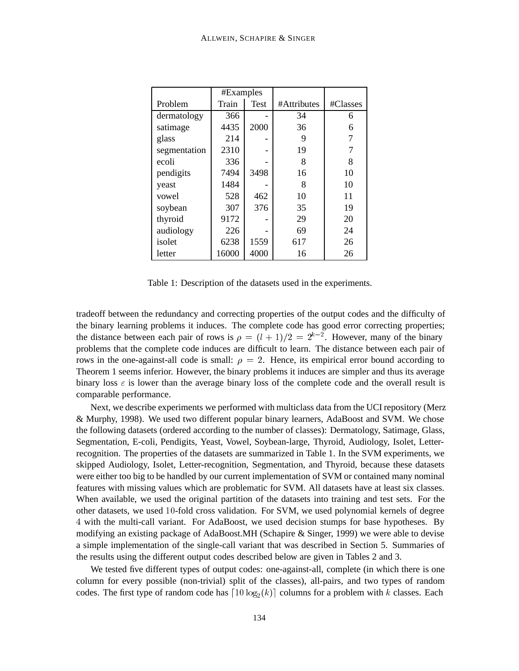|              | #Examples |             |             |          |
|--------------|-----------|-------------|-------------|----------|
| Problem      | Train     | <b>Test</b> | #Attributes | #Classes |
| dermatology  | 366       |             | 34          | 6        |
| satimage     | 4435      | 2000        | 36          | 6        |
| glass        | 214       |             | 9           | 7        |
| segmentation | 2310      |             | 19          | 7        |
| ecoli        | 336       |             | 8           | 8        |
| pendigits    | 7494      | 3498        | 16          | 10       |
| yeast        | 1484      |             | 8           | 10       |
| vowel        | 528       | 462         | 10          | 11       |
| soybean      | 307       | 376         | 35          | 19       |
| thyroid      | 9172      |             | 29          | 20       |
| audiology    | 226       |             | 69          | 24       |
| isolet       | 6238      | 1559        | 617         | 26       |
| letter       | 16000     | 4000        | 16          | 26       |

Table 1: Description of the datasets used in the experiments.

tradeoff between the redundancy and correcting properties of the output codes and the difficulty of the binary learning problems it induces. The complete code has good error correcting properties; the distance between each pair of rows is  $\rho = (l + 1)/2 = 2^{k-2}$ . However, many of the binary problems that the complete code induces are difficult to learn. The distance between each pair of rows in the one-against-all code is small:  $\rho = 2$ . Hence, its empirical error bound according to Theorem 1 seems inferior. However, the binary problems it induces are simpler and thus its average binary loss  $\varepsilon$  is lower than the average binary loss of the complete code and the overall result is comparable performance.

Next, we describe experiments we performed with multiclass data from the UCI repository (Merz & Murphy, 1998). We used two different popular binary learners, AdaBoost and SVM. We chose the following datasets (ordered according to the number of classes): Dermatology, Satimage, Glass, Segmentation, E-coli, Pendigits, Yeast, Vowel, Soybean-large, Thyroid, Audiology, Isolet, Letterrecognition. The properties of the datasets are summarized in Table 1. In the SVM experiments, we skipped Audiology, Isolet, Letter-recognition, Segmentation, and Thyroid, because these datasets were either too big to be handled by our current implementation of SVM or contained many nominal features with missing values which are problematic for SVM. All datasets have at least six classes. When available, we used the original partition of the datasets into training and test sets. For the other datasets, we used <sup>10</sup>-fold cross validation. For SVM, we used polynomial kernels of degree 4 with the multi-call variant. For AdaBoost, we used decision stumps for base hypotheses. By modifying an existing package of AdaBoost.MH (Schapire & Singer, 1999) we were able to devise a simple implementation of the single-call variant that was described in Section 5. Summaries of the results using the different output codes described below are given in Tables 2 and 3.

We tested five different types of output codes: one-against-all, complete (in which there is one column for every possible (non-trivial) split of the classes), all-pairs, and two types of random codes. The first type of random code has  $\lceil 10 \log_2(k) \rceil$  columns for a problem with k classes. Each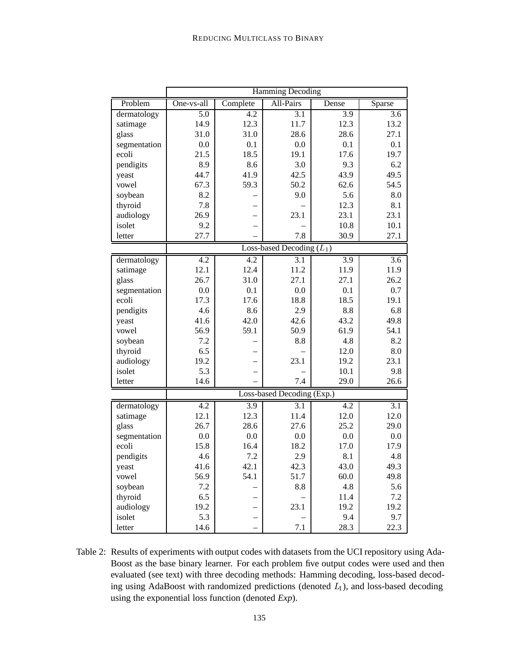|              | <b>Hamming Decoding</b>     |                  |                  |                  |                    |  |
|--------------|-----------------------------|------------------|------------------|------------------|--------------------|--|
| Problem      | One-vs-all                  | Complete         | All-Pairs        | Dense            | Sparse             |  |
| dermatology  | $\overline{5.0}$            | 4.2              | $\overline{3.1}$ | 3.9              | $\overline{3.6}$   |  |
| satimage     | 14.9                        | 12.3             | 11.7             | 12.3             | 13.2               |  |
| glass        | 31.0                        | 31.0             | 28.6             | 28.6             | 27.1               |  |
| segmentation | 0.0                         | 0.1              | 0.0              | 0.1              | 0.1                |  |
| ecoli        | 21.5                        | 18.5             | 19.1             | 17.6             | 19.7               |  |
| pendigits    | 8.9                         | 8.6              | 3.0              | 9.3              | 6.2                |  |
| yeast        | 44.7                        | 41.9             | 42.5             | 43.9             | 49.5               |  |
| vowel        | 67.3                        | 59.3             | 50.2             | 62.6             | 54.5               |  |
| soybean      | 8.2                         |                  | 9.0              | 5.6              | 8.0                |  |
| thyroid      | 7.8                         |                  |                  | 12.3             | 8.1                |  |
| audiology    | 26.9                        |                  | 23.1             | 23.1             | 23.1               |  |
| isolet       | 9.2                         |                  |                  | 10.8             | 10.1               |  |
| letter       | 27.7                        |                  | 7.8              | 30.9             | 27.1               |  |
|              | Loss-based Decoding $(L_1)$ |                  |                  |                  |                    |  |
| dermatology  | 4.2                         | 4.2              | $\overline{3.1}$ | 3.9              | $\overline{3.6}$   |  |
| satimage     | 12.1                        | 12.4             | 11.2             | 11.9             | 11.9               |  |
| glass        | 26.7                        | 31.0             | 27.1             | 27.1             | 26.2               |  |
| segmentation | 0.0                         | 0.1              | 0.0              | 0.1              | 0.7                |  |
| ecoli        | 17.3                        | 17.6             | 18.8             | 18.5             | 19.1               |  |
| pendigits    | 4.6                         | 8.6              | 2.9              | 8.8              | 6.8                |  |
| yeast        | 41.6                        | 42.0             | 42.6             | 43.2             | 49.8               |  |
| vowel        | 56.9                        | 59.1             | 50.9             | 61.9             | 54.1               |  |
| soybean      | 7.2                         |                  | 8.8              | 4.8              | 8.2                |  |
| thyroid      | 6.5                         |                  |                  | 12.0             | $\boldsymbol{8.0}$ |  |
| audiology    | 19.2                        |                  | 23.1             | 19.2             | 23.1               |  |
| isolet       | 5.3                         |                  |                  | 10.1             | 9.8                |  |
| letter       | 14.6                        |                  | 7.4              | 29.0             | 26.6               |  |
|              | Loss-based Decoding (Exp.)  |                  |                  |                  |                    |  |
| dermatology  | $\overline{4.2}$            | $\overline{3.9}$ | $\overline{3.1}$ | $\overline{4.2}$ | 3.1                |  |
| satimage     | 12.1                        | 12.3             | 11.4             | 12.0             | 12.0               |  |
| glass        | 26.7                        | 28.6             | 27.6             | 25.2             | 29.0               |  |
| segmentation | 0.0                         | 0.0              | 0.0              | 0.0              | 0.0                |  |
| ecoli        | 15.8                        | 16.4             | 18.2             | 17.0             | 17.9               |  |
| pendigits    | 4.6                         | 7.2              | 2.9              | 8.1              | 4.8                |  |
| yeast        | 41.6                        | 42.1             | 42.3             | 43.0             | 49.3               |  |
| vowel        | 56.9                        | 54.1             | 51.7             | 60.0             | 49.8               |  |
| soybean      | 7.2                         |                  | 8.8              | 4.8              | 5.6                |  |
| thyroid      | 6.5                         |                  |                  | 11.4             | 7.2                |  |
| audiology    | 19.2                        |                  | 23.1             | 19.2             | 19.2               |  |
| isolet       | 5.3                         |                  |                  | 9.4              | 9.7                |  |
| letter       | 14.6                        |                  | 7.1              | 28.3             | 22.3               |  |

Table 2: Results of experiments with output codes with datasets from the UCI repository using Ada-Boost as the base binary learner. For each problem five output codes were used and then evaluated (see text) with three decoding methods: Hamming decoding, loss-based decoding using AdaBoost with randomized predictions (denoted  $L_1$ ), and loss-based decoding using the exponential loss function (denoted *Exp*).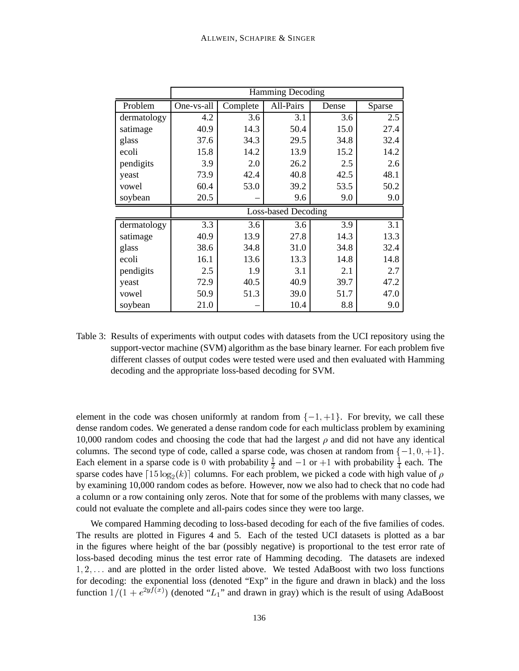|             | Hamming Decoding           |          |           |       |        |  |  |
|-------------|----------------------------|----------|-----------|-------|--------|--|--|
| Problem     | One-vs-all                 | Complete | All-Pairs | Dense | Sparse |  |  |
| dermatology | 4.2                        | 3.6      | 3.1       | 3.6   | 2.5    |  |  |
| satimage    | 40.9                       | 14.3     | 50.4      | 15.0  | 27.4   |  |  |
| glass       | 37.6                       | 34.3     | 29.5      | 34.8  | 32.4   |  |  |
| ecoli       | 15.8                       | 14.2     | 13.9      | 15.2  | 14.2   |  |  |
| pendigits   | 3.9                        | 2.0      | 26.2      | 2.5   | 2.6    |  |  |
| yeast       | 73.9                       | 42.4     | 40.8      | 42.5  | 48.1   |  |  |
| vowel       | 60.4                       | 53.0     | 39.2      | 53.5  | 50.2   |  |  |
| soybean     | 20.5                       |          | 9.6       | 9.0   | 9.0    |  |  |
|             | <b>Loss-based Decoding</b> |          |           |       |        |  |  |
| dermatology | 3.3                        | 3.6      | 3.6       | 3.9   | 3.1    |  |  |
| satimage    | 40.9                       | 13.9     | 27.8      | 14.3  | 13.3   |  |  |
| glass       | 38.6                       | 34.8     | 31.0      | 34.8  | 32.4   |  |  |
| ecoli       | 16.1                       | 13.6     | 13.3      | 14.8  | 14.8   |  |  |
| pendigits   | 2.5                        | 1.9      | 3.1       | 2.1   | 2.7    |  |  |
| yeast       | 72.9                       | 40.5     | 40.9      | 39.7  | 47.2   |  |  |
| vowel       | 50.9                       | 51.3     | 39.0      | 51.7  | 47.0   |  |  |
| soybean     | 21.0                       |          | 10.4      | 8.8   | 9.0    |  |  |

Table 3: Results of experiments with output codes with datasets from the UCI repository using the support-vector machine (SVM) algorithm as the base binary learner. For each problem five different classes of output codes were tested were used and then evaluated with Hamming decoding and the appropriate loss-based decoding for SVM.

element in the code was chosen uniformly at random from  $\{-1, +1\}$ . For brevity, we call these dense random codes. We generated a dense random code for each multiclass problem by examining 10,000 random codes and choosing the code that had the largest  $\rho$  and did not have any identical columns. The second type of code, called a sparse code, was chosen at random from  $\{-1, 0, +1\}.$ Each element in a sparse code is 0 with probability  $\frac{1}{2}$  and  $-1$  or  $+1$  with probability  $\frac{1}{4}$  each. The sparse codes have  $\lceil 15 \log_2(k) \rceil$  columns. For each problem, we picked a code with high value of  $\rho$ by examining 10,000 random codes as before. However, now we also had to check that no code had a column or a row containing only zeros. Note that for some of the problems with many classes, we could not evaluate the complete and all-pairs codes since they were too large.

We compared Hamming decoding to loss-based decoding for each of the five families of codes. The results are plotted in Figures 4 and 5. Each of the tested UCI datasets is plotted as a bar in the figures where height of the bar (possibly negative) is proportional to the test error rate of loss-based decoding minus the test error rate of Hamming decoding. The datasets are indexed  $1, 2, \ldots$  and are plotted in the order listed above. We tested AdaBoost with two loss functions for decoding: the exponential loss (denoted "Exp" in the figure and drawn in black) and the loss function  $1/(1 + e^{2y f(x)})$  (denoted "L<sub>1</sub>" and drawn in gray) which is the result of using AdaBoost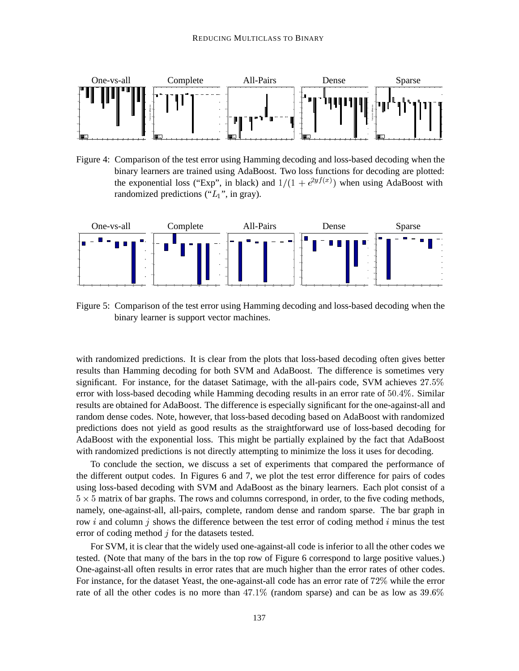

Figure 4: Comparison of the test error using Hamming decoding and loss-based decoding when the binary learners are trained using AdaBoost. Two loss functions for decoding are plotted: the exponential loss ("Exp", in black) and  $1/(1+e^{2yf(x)})$  when using AdaBoost with randomized predictions (" $L_1$ ", in gray).



Figure 5: Comparison of the test error using Hamming decoding and loss-based decoding when the binary learner is support vector machines.

with randomized predictions. It is clear from the plots that loss-based decoding often gives better results than Hamming decoding for both SVM and AdaBoost. The difference is sometimes very significant. For instance, for the dataset Satimage, with the all-pairs code, SVM achieves 27:5% error with loss-based decoding while Hamming decoding results in an error rate of 50:4%. Similar results are obtained for AdaBoost. The difference is especially significant for the one-against-all and random dense codes. Note, however, that loss-based decoding based on AdaBoost with randomized predictions does not yield as good results as the straightforward use of loss-based decoding for AdaBoost with the exponential loss. This might be partially explained by the fact that AdaBoost with randomized predictions is not directly attempting to minimize the loss it uses for decoding.

To conclude the section, we discuss a set of experiments that compared the performance of the different output codes. In Figures 6 and 7, we plot the test error difference for pairs of codes using loss-based decoding with SVM and AdaBoost as the binary learners. Each plot consist of a  $5 \times 5$  matrix of bar graphs. The rows and columns correspond, in order, to the five coding methods, namely, one-against-all, all-pairs, complete, random dense and random sparse. The bar graph in row i and column j shows the difference between the test error of coding method i minus the test error of coding method  $j$  for the datasets tested.

For SVM, it is clear that the widely used one-against-all code is inferior to all the other codes we tested. (Note that many of the bars in the top row of Figure 6 correspond to large positive values.) One-against-all often results in error rates that are much higher than the error rates of other codes. For instance, for the dataset Yeast, the one-against-all code has an error rate of 72% while the error rate of all the other codes is no more than  $47.1\%$  (random sparse) and can be as low as  $39.6\%$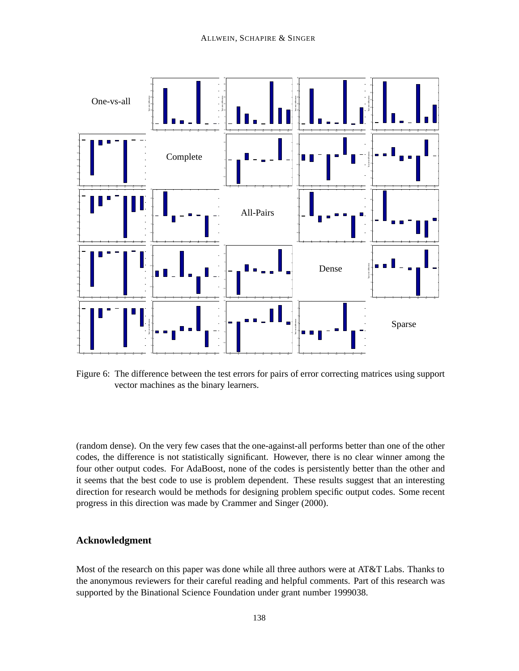

Figure 6: The difference between the test errors for pairs of error correcting matrices using support vector machines as the binary learners.

(random dense). On the very few cases that the one-against-all performs better than one of the other codes, the difference is not statistically significant. However, there is no clear winner among the four other output codes. For AdaBoost, none of the codes is persistently better than the other and it seems that the best code to use is problem dependent. These results suggest that an interesting direction for research would be methods for designing problem specific output codes. Some recent progress in this direction was made by Crammer and Singer (2000).

### **Acknowledgment**

Most of the research on this paper was done while all three authors were at AT&T Labs. Thanks to the anonymous reviewers for their careful reading and helpful comments. Part of this research was supported by the Binational Science Foundation under grant number 1999038.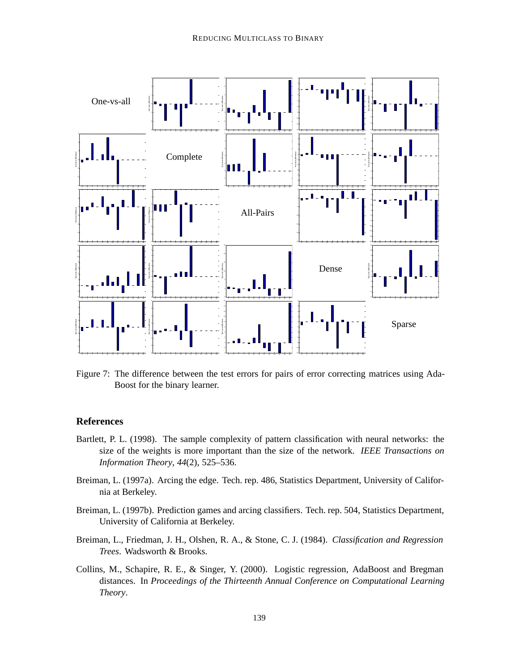

Figure 7: The difference between the test errors for pairs of error correcting matrices using Ada-Boost for the binary learner.

#### **References**

- Bartlett, P. L. (1998). The sample complexity of pattern classification with neural networks: the size of the weights is more important than the size of the network. *IEEE Transactions on Information Theory*, *44*(2), 525–536.
- Breiman, L. (1997a). Arcing the edge. Tech. rep. 486, Statistics Department, University of California at Berkeley.
- Breiman, L. (1997b). Prediction games and arcing classifiers. Tech. rep. 504, Statistics Department, University of California at Berkeley.
- Breiman, L., Friedman, J. H., Olshen, R. A., & Stone, C. J. (1984). *Classification and Regression Trees*. Wadsworth & Brooks.
- Collins, M., Schapire, R. E., & Singer, Y. (2000). Logistic regression, AdaBoost and Bregman distances. In *Proceedings of the Thirteenth Annual Conference on Computational Learning Theory*.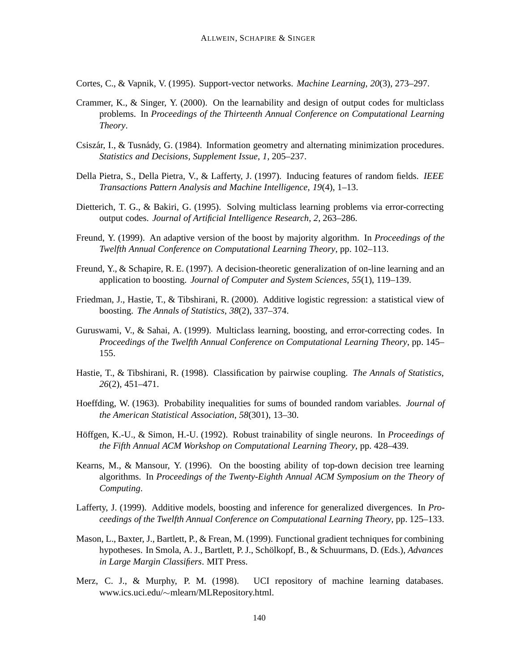Cortes, C., & Vapnik, V. (1995). Support-vector networks. *Machine Learning*, *20*(3), 273–297.

- Crammer, K., & Singer, Y. (2000). On the learnability and design of output codes for multiclass problems. In *Proceedings of the Thirteenth Annual Conference on Computational Learning Theory*.
- Csiszár, I., & Tusnády, G. (1984). Information geometry and alternating minimization procedures. *Statistics and Decisions, Supplement Issue*, *1*, 205–237.
- Della Pietra, S., Della Pietra, V., & Lafferty, J. (1997). Inducing features of random fields. *IEEE Transactions Pattern Analysis and Machine Intelligence*, *19*(4), 1–13.
- Dietterich, T. G., & Bakiri, G. (1995). Solving multiclass learning problems via error-correcting output codes. *Journal of Artificial Intelligence Research*, *2*, 263–286.
- Freund, Y. (1999). An adaptive version of the boost by majority algorithm. In *Proceedings of the Twelfth Annual Conference on Computational Learning Theory*, pp. 102–113.
- Freund, Y., & Schapire, R. E. (1997). A decision-theoretic generalization of on-line learning and an application to boosting. *Journal of Computer and System Sciences*, *55*(1), 119–139.
- Friedman, J., Hastie, T., & Tibshirani, R. (2000). Additive logistic regression: a statistical view of boosting. *The Annals of Statistics*, *38*(2), 337–374.
- Guruswami, V., & Sahai, A. (1999). Multiclass learning, boosting, and error-correcting codes. In *Proceedings of the Twelfth Annual Conference on Computational Learning Theory*, pp. 145– 155.
- Hastie, T., & Tibshirani, R. (1998). Classification by pairwise coupling. *The Annals of Statistics*, *26*(2), 451–471.
- Hoeffding, W. (1963). Probability inequalities for sums of bounded random variables. *Journal of the American Statistical Association*, *58*(301), 13–30.
- Höffgen, K.-U., & Simon, H.-U. (1992). Robust trainability of single neurons. In *Proceedings of the Fifth Annual ACM Workshop on Computational Learning Theory*, pp. 428–439.
- Kearns, M., & Mansour, Y. (1996). On the boosting ability of top-down decision tree learning algorithms. In *Proceedings of the Twenty-Eighth Annual ACM Symposium on the Theory of Computing*.
- Lafferty, J. (1999). Additive models, boosting and inference for generalized divergences. In *Proceedings of the Twelfth Annual Conference on Computational Learning Theory*, pp. 125–133.
- Mason, L., Baxter, J., Bartlett, P., & Frean, M. (1999). Functional gradient techniques for combining hypotheses. In Smola, A. J., Bartlett, P. J., Schölkopf, B., & Schuurmans, D. (Eds.), *Advances in Large Margin Classifiers*. MIT Press.
- Merz, C. J., & Murphy, P. M. (1998). UCI repository of machine learning databases. www.ics.uci.edu/~mlearn/MLRepository.html.